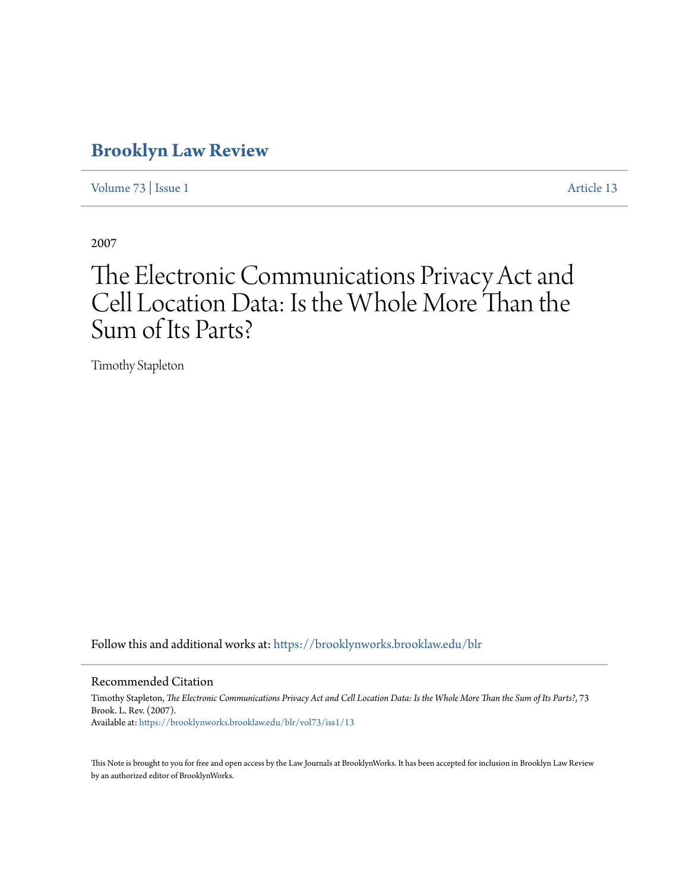## **[Brooklyn Law Review](https://brooklynworks.brooklaw.edu/blr?utm_source=brooklynworks.brooklaw.edu%2Fblr%2Fvol73%2Fiss1%2F13&utm_medium=PDF&utm_campaign=PDFCoverPages)**

[Volume 73](https://brooklynworks.brooklaw.edu/blr/vol73?utm_source=brooklynworks.brooklaw.edu%2Fblr%2Fvol73%2Fiss1%2F13&utm_medium=PDF&utm_campaign=PDFCoverPages) | [Issue 1](https://brooklynworks.brooklaw.edu/blr/vol73/iss1?utm_source=brooklynworks.brooklaw.edu%2Fblr%2Fvol73%2Fiss1%2F13&utm_medium=PDF&utm_campaign=PDFCoverPages) [Article 13](https://brooklynworks.brooklaw.edu/blr/vol73/iss1/13?utm_source=brooklynworks.brooklaw.edu%2Fblr%2Fvol73%2Fiss1%2F13&utm_medium=PDF&utm_campaign=PDFCoverPages)

2007

# The Electronic Communications Privacy Act and Cell Location Data: Is the Whole More Than the Sum of Its Parts?

Timothy Stapleton

Follow this and additional works at: [https://brooklynworks.brooklaw.edu/blr](https://brooklynworks.brooklaw.edu/blr?utm_source=brooklynworks.brooklaw.edu%2Fblr%2Fvol73%2Fiss1%2F13&utm_medium=PDF&utm_campaign=PDFCoverPages)

#### Recommended Citation

Timothy Stapleton, *The Electronic Communications Privacy Act and Cell Location Data: Is the Whole More Than the Sum of Its Parts?*, 73 Brook. L. Rev. (2007). Available at: [https://brooklynworks.brooklaw.edu/blr/vol73/iss1/13](https://brooklynworks.brooklaw.edu/blr/vol73/iss1/13?utm_source=brooklynworks.brooklaw.edu%2Fblr%2Fvol73%2Fiss1%2F13&utm_medium=PDF&utm_campaign=PDFCoverPages)

This Note is brought to you for free and open access by the Law Journals at BrooklynWorks. It has been accepted for inclusion in Brooklyn Law Review by an authorized editor of BrooklynWorks.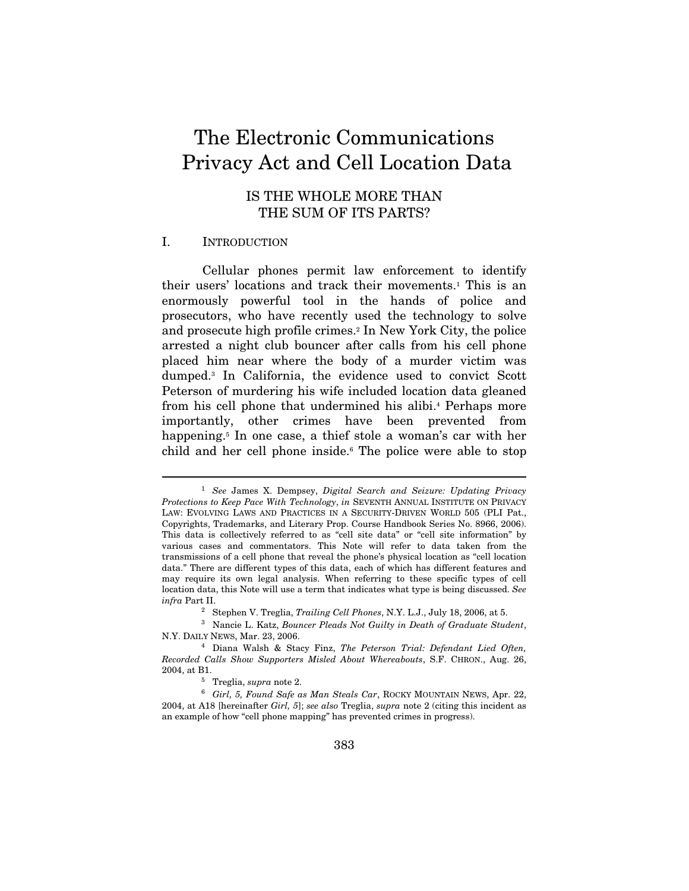## The Electronic Communications Privacy Act and Cell Location Data

## IS THE WHOLE MORE THAN THE SUM OF ITS PARTS?

#### I. INTRODUCTION

 $\overline{a}$ 

Cellular phones permit law enforcement to identify their users' locations and track their movements.1 This is an enormously powerful tool in the hands of police and prosecutors, who have recently used the technology to solve and prosecute high profile crimes.2 In New York City, the police arrested a night club bouncer after calls from his cell phone placed him near where the body of a murder victim was dumped.3 In California, the evidence used to convict Scott Peterson of murdering his wife included location data gleaned from his cell phone that undermined his alibi.4 Perhaps more importantly, other crimes have been prevented from happening.<sup>5</sup> In one case, a thief stole a woman's car with her child and her cell phone inside.<sup>6</sup> The police were able to stop

 $1$  See James X. Dempsey, Digital Search and Seizure: Updating Privacy Protections to Keep Pace With Technology, in SEVENTH ANNUAL INSTITUTE ON PRIVACY LAW: EVOLVING LAWS AND PRACTICES IN A SECURITY-DRIVEN WORLD 505 (PLI Pat., Copyrights, Trademarks, and Literary Prop. Course Handbook Series No. 8966, 2006). This data is collectively referred to as "cell site data" or "cell site information" by various cases and commentators. This Note will refer to data taken from the transmissions of a cell phone that reveal the phone's physical location as "cell location data." There are different types of this data, each of which has different features and may require its own legal analysis. When referring to these specific types of cell location data, this Note will use a term that indicates what type is being discussed. See infra Part II.<br><sup>2</sup> Stephen V. Treglia, *Trailing Cell Phones*, N.Y. L.J., July 18, 2006, at 5.

<sup>&</sup>lt;sup>3</sup> Nancie L. Katz, Bouncer Pleads Not Guilty in Death of Graduate Student, N.Y. DAILY NEWS, Mar. 23, 2006. 4 Diana Walsh & Stacy Finz, The Peterson Trial: Defendant Lied Often,

Recorded Calls Show Supporters Misled About Whereabouts, S.F. CHRON., Aug. 26, 2004, at B1.<br><sup>5</sup> Treglia, supra note 2.<br><sup>6</sup> Girl, 5, Found Safe as Man Steals Car, ROCKY MOUNTAIN NEWS, Apr. 22,

<sup>2004,</sup> at A18 [hereinafter Girl, 5]; see also Treglia, supra note 2 (citing this incident as an example of how "cell phone mapping" has prevented crimes in progress).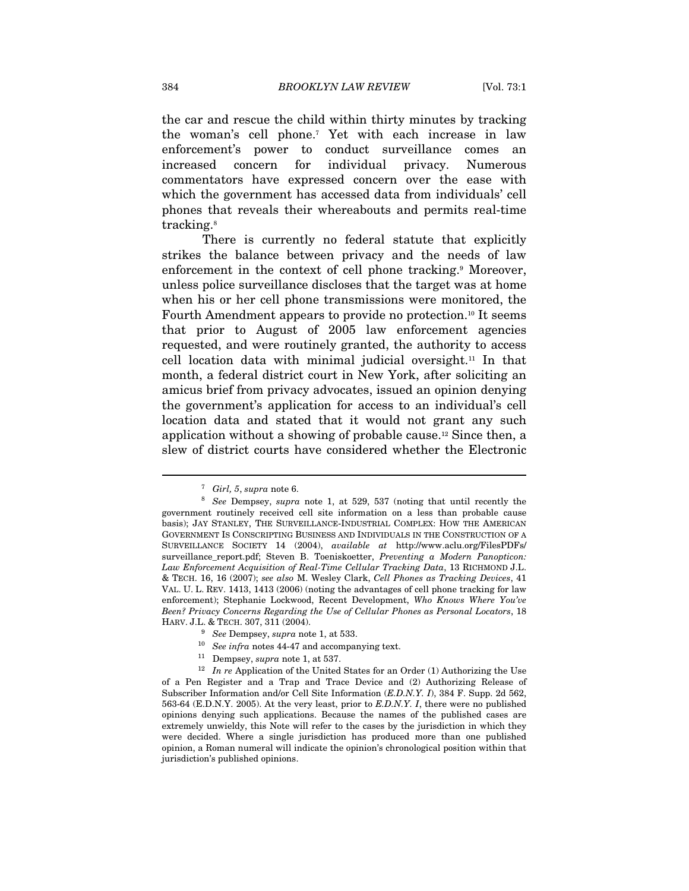the car and rescue the child within thirty minutes by tracking the woman's cell phone.7 Yet with each increase in law enforcement's power to conduct surveillance comes an increased concern for individual privacy. Numerous commentators have expressed concern over the ease with which the government has accessed data from individuals' cell phones that reveals their whereabouts and permits real-time tracking.8

There is currently no federal statute that explicitly strikes the balance between privacy and the needs of law enforcement in the context of cell phone tracking.<sup>9</sup> Moreover, unless police surveillance discloses that the target was at home when his or her cell phone transmissions were monitored, the Fourth Amendment appears to provide no protection.10 It seems that prior to August of 2005 law enforcement agencies requested, and were routinely granted, the authority to access cell location data with minimal judicial oversight.11 In that month, a federal district court in New York, after soliciting an amicus brief from privacy advocates, issued an opinion denying the government's application for access to an individual's cell location data and stated that it would not grant any such application without a showing of probable cause.12 Since then, a slew of district courts have considered whether the Electronic

- $\frac{9}{10}$  See Dempsey, supra note 1, at 533.<br><sup>10</sup> See infra notes 44-47 and accompanying text.
- 

<sup>&</sup>lt;sup>7</sup> Girl, 5, supra note 6.<br><sup>8</sup> See Dempsey, supra note 1, at 529, 537 (noting that until recently the government routinely received cell site information on a less than probable cause basis); JAY STANLEY, THE SURVEILLANCE-INDUSTRIAL COMPLEX: HOW THE AMERICAN GOVERNMENT IS CONSCRIPTING BUSINESS AND INDIVIDUALS IN THE CONSTRUCTION OF A SURVEILLANCE SOCIETY 14 (2004), available at http://www.aclu.org/FilesPDFs/ surveillance\_report.pdf; Steven B. Toeniskoetter, Preventing a Modern Panopticon: Law Enforcement Acquisition of Real-Time Cellular Tracking Data, 13 RICHMOND J.L. & TECH. 16, 16 (2007); see also M. Wesley Clark, Cell Phones as Tracking Devices, 41 VAL. U. L. REV. 1413, 1413 (2006) (noting the advantages of cell phone tracking for law enforcement); Stephanie Lockwood, Recent Development, Who Knows Where You've Been? Privacy Concerns Regarding the Use of Cellular Phones as Personal Locators, 18 HARV. J.L. & TECH. 307, 311 (2004).

<sup>&</sup>lt;sup>11</sup> Dempsey, *supra* note 1, at 537.<br><sup>12</sup> In re Application of the United States for an Order (1) Authorizing the Use of a Pen Register and a Trap and Trace Device and (2) Authorizing Release of Subscriber Information and/or Cell Site Information (E.D.N.Y. I), 384 F. Supp. 2d 562, 563-64 (E.D.N.Y. 2005). At the very least, prior to E.D.N.Y. I, there were no published opinions denying such applications. Because the names of the published cases are extremely unwieldy, this Note will refer to the cases by the jurisdiction in which they were decided. Where a single jurisdiction has produced more than one published opinion, a Roman numeral will indicate the opinion's chronological position within that jurisdiction's published opinions.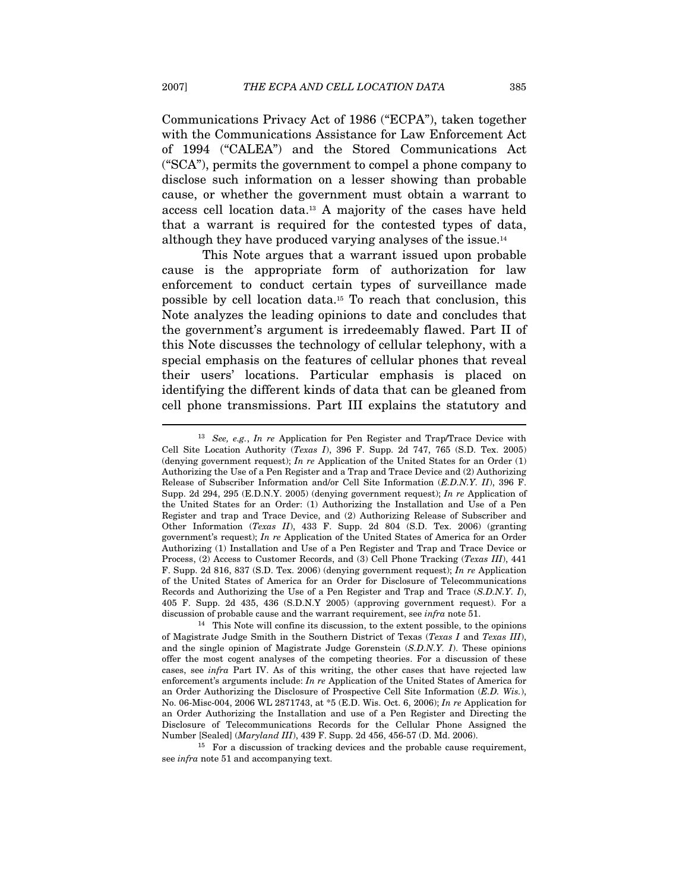Communications Privacy Act of 1986 ("ECPA"), taken together with the Communications Assistance for Law Enforcement Act of 1994 ("CALEA") and the Stored Communications Act ("SCA"), permits the government to compel a phone company to disclose such information on a lesser showing than probable cause, or whether the government must obtain a warrant to access cell location data.13 A majority of the cases have held that a warrant is required for the contested types of data, although they have produced varying analyses of the issue.14

This Note argues that a warrant issued upon probable cause is the appropriate form of authorization for law enforcement to conduct certain types of surveillance made possible by cell location data.15 To reach that conclusion, this Note analyzes the leading opinions to date and concludes that the government's argument is irredeemably flawed. Part II of this Note discusses the technology of cellular telephony, with a special emphasis on the features of cellular phones that reveal their users' locations. Particular emphasis is placed on identifying the different kinds of data that can be gleaned from cell phone transmissions. Part III explains the statutory and

 $13$  See, e.g., In re Application for Pen Register and Trap/Trace Device with Cell Site Location Authority (Texas I), 396 F. Supp. 2d 747, 765 (S.D. Tex. 2005) (denying government request); In re Application of the United States for an Order  $(1)$ Authorizing the Use of a Pen Register and a Trap and Trace Device and (2) Authorizing Release of Subscriber Information and/or Cell Site Information (E.D.N.Y. II), 396 F. Supp. 2d 294, 295 (E.D.N.Y. 2005) (denying government request); In re Application of the United States for an Order: (1) Authorizing the Installation and Use of a Pen Register and trap and Trace Device, and (2) Authorizing Release of Subscriber and Other Information (Texas II), 433 F. Supp. 2d 804 (S.D. Tex. 2006) (granting government's request); In re Application of the United States of America for an Order Authorizing (1) Installation and Use of a Pen Register and Trap and Trace Device or Process, (2) Access to Customer Records, and (3) Cell Phone Tracking (Texas III), 441 F. Supp. 2d 816, 837 (S.D. Tex. 2006) (denying government request); In re Application of the United States of America for an Order for Disclosure of Telecommunications Records and Authorizing the Use of a Pen Register and Trap and Trace (S.D.N.Y. I), 405 F. Supp. 2d 435, 436 (S.D.N.Y 2005) (approving government request). For a discussion of probable cause and the warrant requirement, see *infra* note 51.<br><sup>14</sup> This Note will confine its discussion, to the extent possible, to the opinions

of Magistrate Judge Smith in the Southern District of Texas (Texas I and Texas III), and the single opinion of Magistrate Judge Gorenstein  $(S.D.N.Y. I)$ . These opinions offer the most cogent analyses of the competing theories. For a discussion of these cases, see infra Part IV. As of this writing, the other cases that have rejected law enforcement's arguments include: In re Application of the United States of America for an Order Authorizing the Disclosure of Prospective Cell Site Information (E.D. Wis.), No. 06-Misc-004, 2006 WL 2871743, at \*5 (E.D. Wis. Oct. 6, 2006); In re Application for an Order Authorizing the Installation and use of a Pen Register and Directing the Disclosure of Telecommunications Records for the Cellular Phone Assigned the

Number [Sealed] (*Maryland III*), 439 F. Supp. 2d 456, 456-57 (D. Md. 2006).<br><sup>15</sup> For a discussion of tracking devices and the probable cause requirement, see infra note 51 and accompanying text.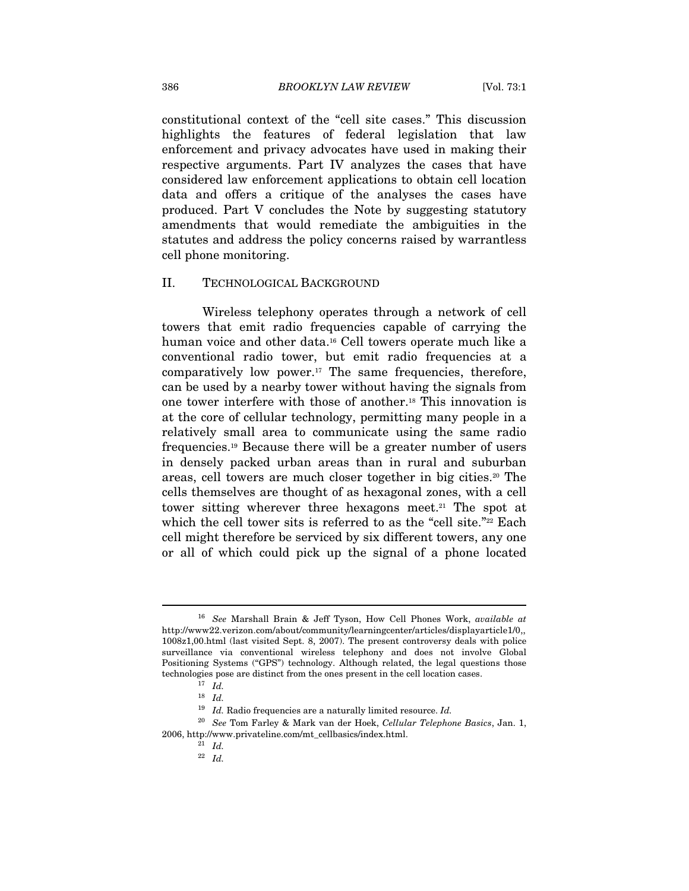constitutional context of the "cell site cases." This discussion highlights the features of federal legislation that law enforcement and privacy advocates have used in making their respective arguments. Part IV analyzes the cases that have considered law enforcement applications to obtain cell location data and offers a critique of the analyses the cases have produced. Part V concludes the Note by suggesting statutory amendments that would remediate the ambiguities in the statutes and address the policy concerns raised by warrantless cell phone monitoring.

#### II. TECHNOLOGICAL BACKGROUND

Wireless telephony operates through a network of cell towers that emit radio frequencies capable of carrying the human voice and other data.<sup>16</sup> Cell towers operate much like a conventional radio tower, but emit radio frequencies at a comparatively low power.17 The same frequencies, therefore, can be used by a nearby tower without having the signals from one tower interfere with those of another.18 This innovation is at the core of cellular technology, permitting many people in a relatively small area to communicate using the same radio frequencies.19 Because there will be a greater number of users in densely packed urban areas than in rural and suburban areas, cell towers are much closer together in big cities.<sup>20</sup> The cells themselves are thought of as hexagonal zones, with a cell tower sitting wherever three hexagons meet.<sup>21</sup> The spot at which the cell tower sits is referred to as the "cell site."<sup>22</sup> Each cell might therefore be serviced by six different towers, any one or all of which could pick up the signal of a phone located

<sup>&</sup>lt;sup>16</sup> See Marshall Brain & Jeff Tyson, How Cell Phones Work, available at http://www22.verizon.com/about/community/learningcenter/articles/displayarticle1/0,, 1008z1,00.html (last visited Sept. 8, 2007). The present controversy deals with police surveillance via conventional wireless telephony and does not involve Global Positioning Systems ("GPS") technology. Although related, the legal questions those technologies pose are distinct from the ones present in the cell location cases.  $17$  Id.

 $18$  *Id.* 

 $^{19}\,$  Id. Radio frequencies are a naturally limited resource. Id.

<sup>&</sup>lt;sup>20</sup> See Tom Farley & Mark van der Hoek, Cellular Telephone Basics, Jan. 1, 2006, http://www.privateline.com/mt\_cellbasics/index.html.  $\frac{21}{10}$ 

<sup>22</sup> Id.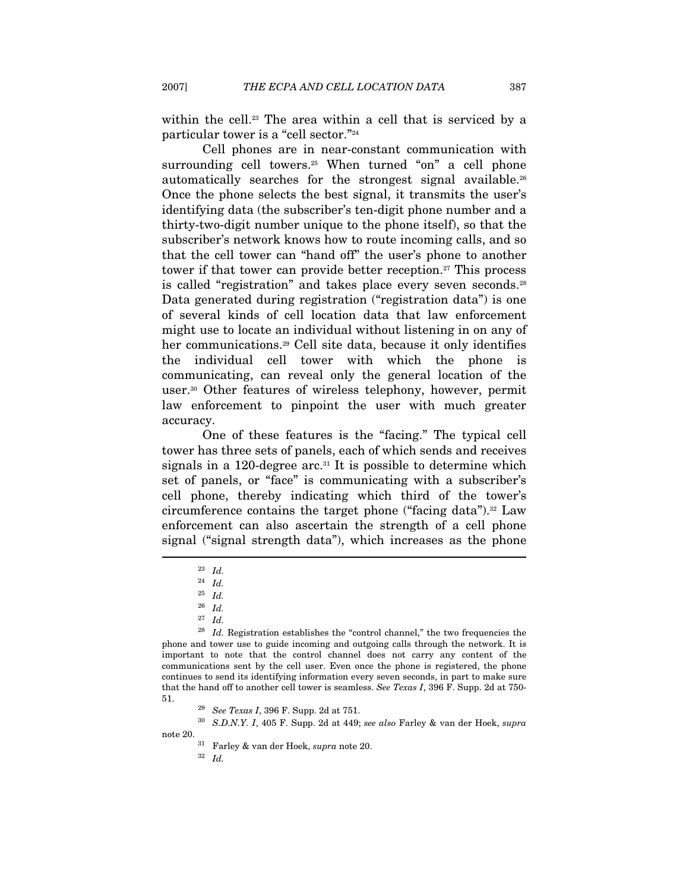within the cell.<sup>23</sup> The area within a cell that is serviced by a particular tower is a "cell sector."24

Cell phones are in near-constant communication with surrounding cell towers.<sup>25</sup> When turned "on" a cell phone automatically searches for the strongest signal available.<sup>26</sup> Once the phone selects the best signal, it transmits the user's identifying data (the subscriber's ten-digit phone number and a thirty-two-digit number unique to the phone itself), so that the subscriber's network knows how to route incoming calls, and so that the cell tower can "hand off" the user's phone to another tower if that tower can provide better reception.<sup>27</sup> This process is called "registration" and takes place every seven seconds.<sup>28</sup> Data generated during registration ("registration data") is one of several kinds of cell location data that law enforcement might use to locate an individual without listening in on any of her communications.<sup>29</sup> Cell site data, because it only identifies the individual cell tower with which the phone is communicating, can reveal only the general location of the user.30 Other features of wireless telephony, however, permit law enforcement to pinpoint the user with much greater accuracy.

One of these features is the "facing." The typical cell tower has three sets of panels, each of which sends and receives signals in a 120-degree arc.<sup>31</sup> It is possible to determine which set of panels, or "face" is communicating with a subscriber's cell phone, thereby indicating which third of the tower's circumference contains the target phone ("facing data").32 Law enforcement can also ascertain the strength of a cell phone signal ("signal strength data"), which increases as the phone  $\overline{a}$ 

 $^{28}$  Id. Registration establishes the "control channel," the two frequencies the phone and tower use to guide incoming and outgoing calls through the network. It is important to note that the control channel does not carry any content of the communications sent by the cell user. Even once the phone is registered, the phone continues to send its identifying information every seven seconds, in part to make sure that the hand off to another cell tower is seamless. See Texas I, 396 F. Supp. 2d at 750- 51.  $^{29}$  See Texas I, 396 F. Supp. 2d at 751.<br> $^{30}$  S.D.N.Y. I, 405 F. Supp. 2d at 449; see also Farley & van der Hoek, supra

note 20.  $$\rm{^{31}}$$  Farley & van der Hoek,  $supra$  note 20.  $$\rm{^{32}}$$   $Id.$ 

<sup>23</sup> Id.

<sup>24</sup> Id.

<sup>25</sup> Id.

 $^{26}\,$   $Id.$ 

<sup>27</sup> Id.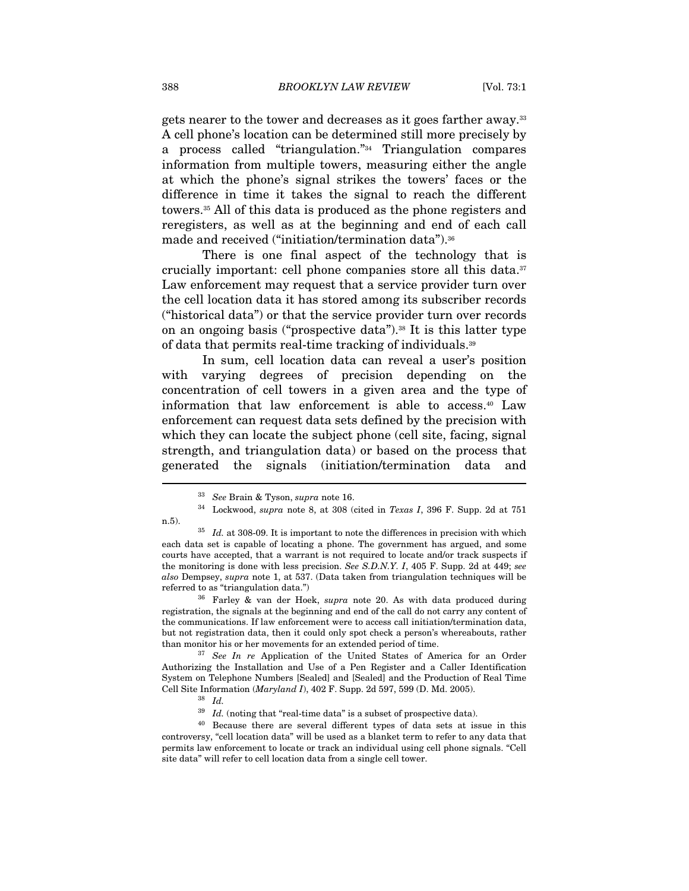gets nearer to the tower and decreases as it goes farther away.33 A cell phone's location can be determined still more precisely by a process called "triangulation."34 Triangulation compares information from multiple towers, measuring either the angle at which the phone's signal strikes the towers' faces or the difference in time it takes the signal to reach the different towers.35 All of this data is produced as the phone registers and reregisters, as well as at the beginning and end of each call made and received ("initiation/termination data").<sup>36</sup>

There is one final aspect of the technology that is crucially important: cell phone companies store all this data.37 Law enforcement may request that a service provider turn over the cell location data it has stored among its subscriber records ("historical data") or that the service provider turn over records on an ongoing basis ("prospective data").38 It is this latter type of data that permits real-time tracking of individuals.39

In sum, cell location data can reveal a user's position with varying degrees of precision depending on the concentration of cell towers in a given area and the type of information that law enforcement is able to access.40 Law enforcement can request data sets defined by the precision with which they can locate the subject phone (cell site, facing, signal strength, and triangulation data) or based on the process that generated the signals (initiation/termination data and I

registration, the signals at the beginning and end of the call do not carry any content of the communications. If law enforcement were to access call initiation/termination data, but not registration data, then it could only spot check a person's whereabouts, rather than monitor his or her movements for an extended period of time.<br><sup>37</sup> See In re Application of the United States of America for an Order

Authorizing the Installation and Use of a Pen Register and a Caller Identification System on Telephone Numbers [Sealed] and [Sealed] and the Production of Real Time Cell Site Information (*Maryland I*), 402 F. Supp. 2d 597, 599 (D. Md. 2005). <sup>38</sup> Id.

 $^{39}$  Id. (noting that "real-time data" is a subset of prospective data).<br><sup>40</sup> Because there are several different types of data sets at issue in this controversy, "cell location data" will be used as a blanket term to refer to any data that permits law enforcement to locate or track an individual using cell phone signals. "Cell site data" will refer to cell location data from a single cell tower.

<sup>33</sup> See Brain & Tyson, supra note 16.

 $34$  Lockwood, supra note 8, at 308 (cited in Texas I, 396 F. Supp. 2d at 751

n.5).  $1d.$  at 308-09. It is important to note the differences in precision with which each data set is capable of locating a phone. The government has argued, and some courts have accepted, that a warrant is not required to locate and/or track suspects if the monitoring is done with less precision. See S.D.N.Y. I, 405 F. Supp. 2d at 449; see also Dempsey, supra note 1, at 537. (Data taken from triangulation techniques will be referred to as "triangulation data.")<br><sup>36</sup> Farley & van der Hoek, *supra* note 20. As with data produced during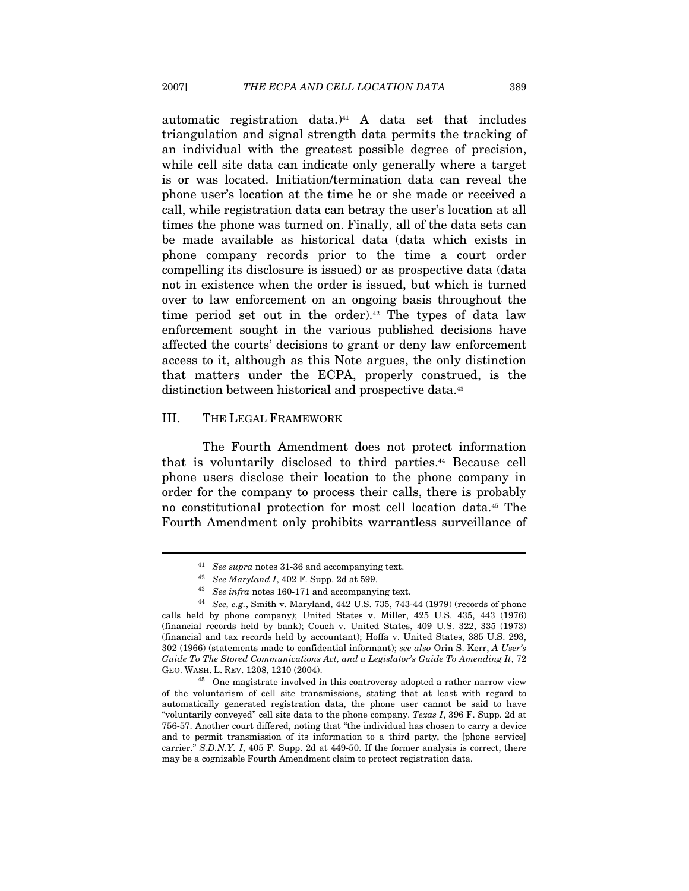automatic registration data.) $41$  A data set that includes triangulation and signal strength data permits the tracking of an individual with the greatest possible degree of precision, while cell site data can indicate only generally where a target is or was located. Initiation/termination data can reveal the phone user's location at the time he or she made or received a call, while registration data can betray the user's location at all times the phone was turned on. Finally, all of the data sets can be made available as historical data (data which exists in phone company records prior to the time a court order compelling its disclosure is issued) or as prospective data (data not in existence when the order is issued, but which is turned over to law enforcement on an ongoing basis throughout the time period set out in the order).<sup>42</sup> The types of data law enforcement sought in the various published decisions have affected the courts' decisions to grant or deny law enforcement access to it, although as this Note argues, the only distinction that matters under the ECPA, properly construed, is the distinction between historical and prospective data.<sup>43</sup>

#### III. THE LEGAL FRAMEWORK

The Fourth Amendment does not protect information that is voluntarily disclosed to third parties.44 Because cell phone users disclose their location to the phone company in order for the company to process their calls, there is probably no constitutional protection for most cell location data.45 The Fourth Amendment only prohibits warrantless surveillance of

<sup>&</sup>lt;sup>41</sup> See supra notes 31-36 and accompanying text.<br><sup>42</sup> See Maryland I, 402 F. Supp. 2d at 599.

<sup>&</sup>lt;sup>43</sup> See infra notes 160-171 and accompanying text.<br><sup>44</sup> See, e.g., Smith v. Maryland, 442 U.S. 735, 743-44 (1979) (records of phone calls held by phone company); United States v. Miller, 425 U.S. 435, 443 (1976) (financial records held by bank); Couch v. United States, 409 U.S. 322, 335 (1973) (financial and tax records held by accountant); Hoffa v. United States, 385 U.S. 293, 302 (1966) (statements made to confidential informant); see also Orin S. Kerr, A User's Guide To The Stored Communications Act, and a Legislator's Guide To Amending It, 72 GEO. WASH. L. REV. 1208, 1210 (2004). 45 One magistrate involved in this controversy adopted a rather narrow view

of the voluntarism of cell site transmissions, stating that at least with regard to automatically generated registration data, the phone user cannot be said to have "voluntarily conveyed" cell site data to the phone company. Texas I, 396 F. Supp. 2d at 756-57. Another court differed, noting that "the individual has chosen to carry a device and to permit transmission of its information to a third party, the [phone service] carrier." S.D.N.Y. I, 405 F. Supp. 2d at 449-50. If the former analysis is correct, there may be a cognizable Fourth Amendment claim to protect registration data.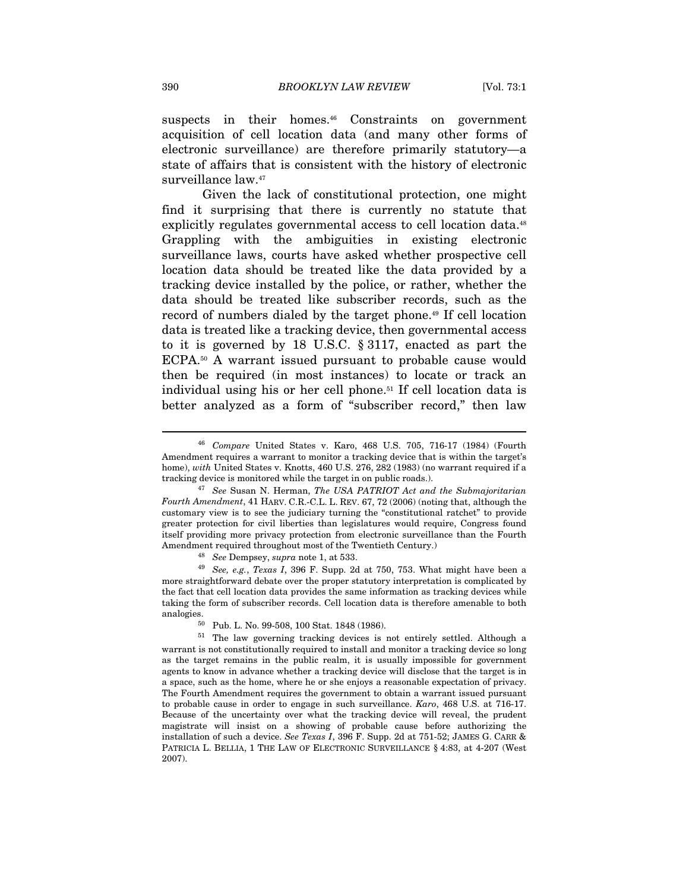suspects in their homes.<sup>46</sup> Constraints on government acquisition of cell location data (and many other forms of electronic surveillance) are therefore primarily statutory—a state of affairs that is consistent with the history of electronic surveillance law.<sup>47</sup>

Given the lack of constitutional protection, one might find it surprising that there is currently no statute that explicitly regulates governmental access to cell location data.<sup>48</sup> Grappling with the ambiguities in existing electronic surveillance laws, courts have asked whether prospective cell location data should be treated like the data provided by a tracking device installed by the police, or rather, whether the data should be treated like subscriber records, such as the record of numbers dialed by the target phone.49 If cell location data is treated like a tracking device, then governmental access to it is governed by 18 U.S.C. § 3117, enacted as part the ECPA.50 A warrant issued pursuant to probable cause would then be required (in most instances) to locate or track an individual using his or her cell phone.51 If cell location data is better analyzed as a form of "subscriber record," then law

more straightforward debate over the proper statutory interpretation is complicated by the fact that cell location data provides the same information as tracking devices while taking the form of subscriber records. Cell location data is therefore amenable to both analogies. 50 Pub. L. No. 99-508, 100 Stat. 1848 (1986).

<sup>46</sup> Compare United States v. Karo, 468 U.S. 705, 716-17 (1984) (Fourth Amendment requires a warrant to monitor a tracking device that is within the target's home), with United States v. Knotts, 460 U.S. 276, 282 (1983) (no warrant required if a tracking device is monitored while the target in on public roads.).

 $47$  See Susan N. Herman, The USA PATRIOT Act and the Submajoritarian Fourth Amendment, 41 HARV. C.R.-C.L. L. REV. 67, 72 (2006) (noting that, although the customary view is to see the judiciary turning the "constitutional ratchet" to provide greater protection for civil liberties than legislatures would require, Congress found itself providing more privacy protection from electronic surveillance than the Fourth Amendment required throughout most of the Twentieth Century.)<br><sup>48</sup> See Dempsey, supra note 1, at 533.<br><sup>49</sup> See, e.g., Texas I, 396 F. Supp. 2d at 750, 753. What might have been a

<sup>51</sup> The law governing tracking devices is not entirely settled. Although a warrant is not constitutionally required to install and monitor a tracking device so long as the target remains in the public realm, it is usually impossible for government agents to know in advance whether a tracking device will disclose that the target is in a space, such as the home, where he or she enjoys a reasonable expectation of privacy. The Fourth Amendment requires the government to obtain a warrant issued pursuant to probable cause in order to engage in such surveillance. Karo, 468 U.S. at 716-17. Because of the uncertainty over what the tracking device will reveal, the prudent magistrate will insist on a showing of probable cause before authorizing the installation of such a device. See Texas I, 396 F. Supp. 2d at  $751-52$ ; JAMES G. CARR & PATRICIA L. BELLIA, 1 THE LAW OF ELECTRONIC SURVEILLANCE § 4:83, at 4-207 (West 2007).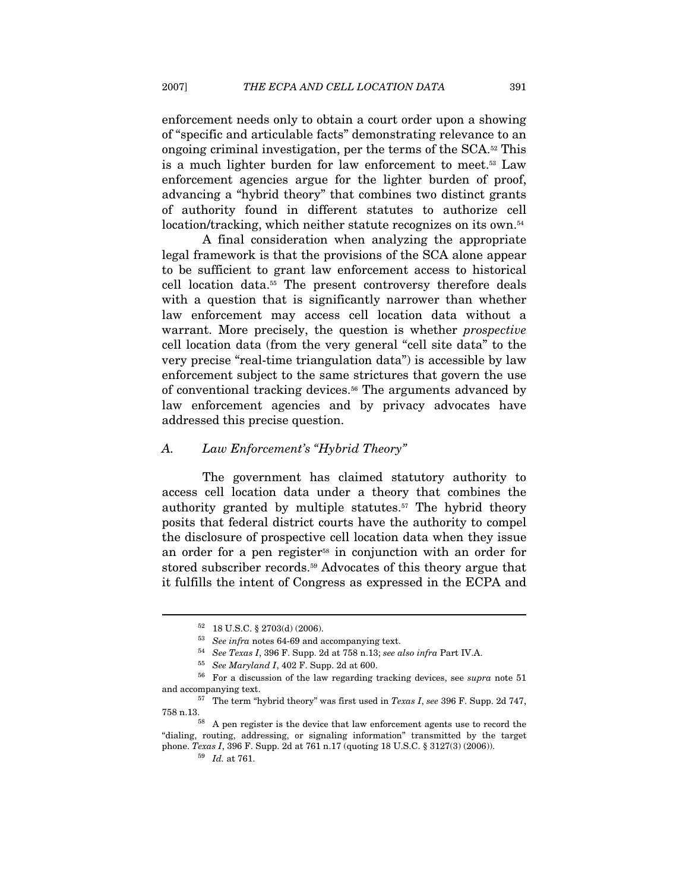enforcement needs only to obtain a court order upon a showing of "specific and articulable facts" demonstrating relevance to an ongoing criminal investigation, per the terms of the SCA.52 This is a much lighter burden for law enforcement to meet.53 Law enforcement agencies argue for the lighter burden of proof, advancing a "hybrid theory" that combines two distinct grants of authority found in different statutes to authorize cell location/tracking, which neither statute recognizes on its own.<sup>54</sup>

A final consideration when analyzing the appropriate legal framework is that the provisions of the SCA alone appear to be sufficient to grant law enforcement access to historical cell location data.55 The present controversy therefore deals with a question that is significantly narrower than whether law enforcement may access cell location data without a warrant. More precisely, the question is whether prospective cell location data (from the very general "cell site data" to the very precise "real-time triangulation data") is accessible by law enforcement subject to the same strictures that govern the use of conventional tracking devices.56 The arguments advanced by law enforcement agencies and by privacy advocates have addressed this precise question.

#### A. Law Enforcement's "Hybrid Theory"

The government has claimed statutory authority to access cell location data under a theory that combines the authority granted by multiple statutes.<sup>57</sup> The hybrid theory posits that federal district courts have the authority to compel the disclosure of prospective cell location data when they issue an order for a pen register<sup>58</sup> in conjunction with an order for stored subscriber records.59 Advocates of this theory argue that it fulfills the intent of Congress as expressed in the ECPA and

 $^{52}$  18 U.S.C. § 2703(d) (2006).  $^{53}$   $\,$   $\,$  See  $\,$  in fra notes 64-69 and accompanying text.

<sup>&</sup>lt;sup>54</sup> See Texas I, 396 F. Supp. 2d at 758 n.13; see also infra Part IV.A.<br><sup>55</sup> See Maryland I, 402 F. Supp. 2d at 600.<br><sup>56</sup> For a discussion of the law regarding tracking devices, see *supra* note 51 and accompanying text.<br><sup>57</sup> The term "hybrid theory" was first used in *Texas I*, see 396 F. Supp. 2d 747,

<sup>758</sup> n.13. 58 A pen register is the device that law enforcement agents use to record the

<sup>&</sup>quot;dialing, routing, addressing, or signaling information" transmitted by the target phone. Texas I, 396 F. Supp. 2d at 761 n.17 (quoting 18 U.S.C. § 3127(3) (2006)).

 $\,$  59  $\,$   $\,$  Id. at 761.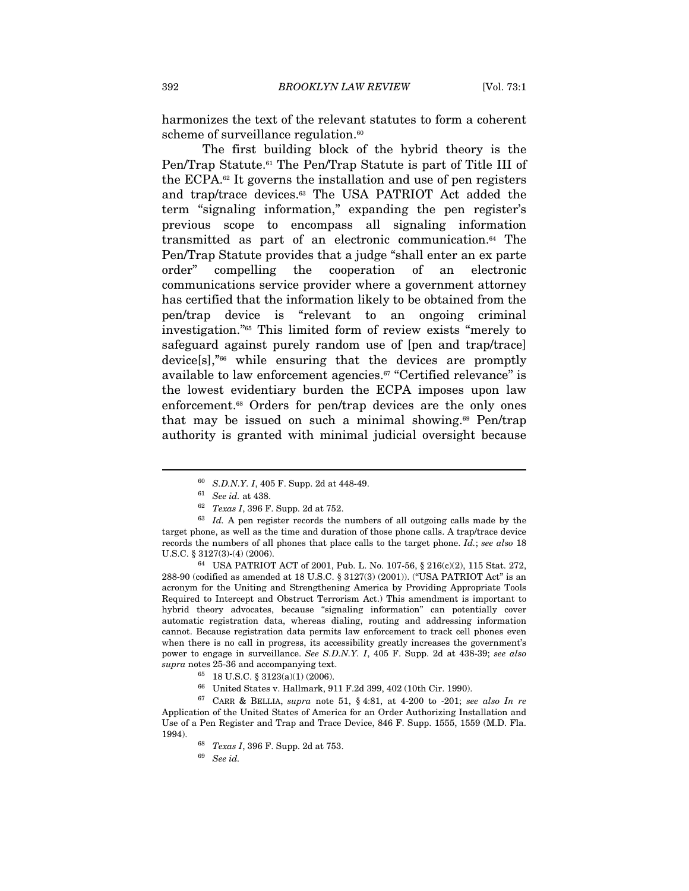harmonizes the text of the relevant statutes to form a coherent scheme of surveillance regulation.<sup>60</sup>

The first building block of the hybrid theory is the Pen/Trap Statute.<sup>61</sup> The Pen/Trap Statute is part of Title III of the ECPA.62 It governs the installation and use of pen registers and trap/trace devices.63 The USA PATRIOT Act added the term "signaling information," expanding the pen register's previous scope to encompass all signaling information transmitted as part of an electronic communication.64 The Pen/Trap Statute provides that a judge "shall enter an ex parte order" compelling the cooperation of an electronic communications service provider where a government attorney has certified that the information likely to be obtained from the pen/trap device is "relevant to an ongoing criminal investigation."65 This limited form of review exists "merely to safeguard against purely random use of [pen and trap/trace] device[s],"66 while ensuring that the devices are promptly available to law enforcement agencies.<sup>67</sup> "Certified relevance" is the lowest evidentiary burden the ECPA imposes upon law enforcement.<sup>68</sup> Orders for pen/trap devices are the only ones that may be issued on such a minimal showing. $69$  Pen/trap authority is granted with minimal judicial oversight because

<sup>&</sup>lt;sup>60</sup> S.D.N.Y. I, 405 F. Supp. 2d at 448-49.<br><sup>61</sup> See id. at 438.<br><sup>62</sup> Texas I, 396 F. Supp. 2d at 752.<br><sup>63</sup> Id. A pen register records the numbers of all outgoing calls made by the target phone, as well as the time and duration of those phone calls. A trap/trace device records the numbers of all phones that place calls to the target phone. Id.; see also 18 U.S.C. § 3127(3)-(4) (2006). 64 USA PATRIOT ACT of 2001, Pub. L. No. 107-56, § 216(c)(2), 115 Stat. 272,

<sup>288-90 (</sup>codified as amended at 18 U.S.C. § 3127(3) (2001)). ("USA PATRIOT Act" is an acronym for the Uniting and Strengthening America by Providing Appropriate Tools Required to Intercept and Obstruct Terrorism Act.) This amendment is important to hybrid theory advocates, because "signaling information" can potentially cover automatic registration data, whereas dialing, routing and addressing information cannot. Because registration data permits law enforcement to track cell phones even when there is no call in progress, its accessibility greatly increases the government's power to engage in surveillance. See S.D.N.Y. I, 405 F. Supp. 2d at 438-39; see also supra notes 25-36 and accompanying text.

<sup>% 18</sup> U.S.C. § 3123(a)(1) (2006). <br>  $\,$  66  $\,$  United States v. Hallmark, 911 F.2d 399, 402 (10th Cir. 1990).

 $67$  CARR & BELLIA, supra note 51, § 4:81, at 4-200 to -201; see also In re Application of the United States of America for an Order Authorizing Installation and Use of a Pen Register and Trap and Trace Device, 846 F. Supp. 1555, 1559 (M.D. Fla. 1994). <br> 68  ${\it Texas\ I}$ , 396 F. Supp. 2d at 753. <br> 69  ${\it See\ id}.$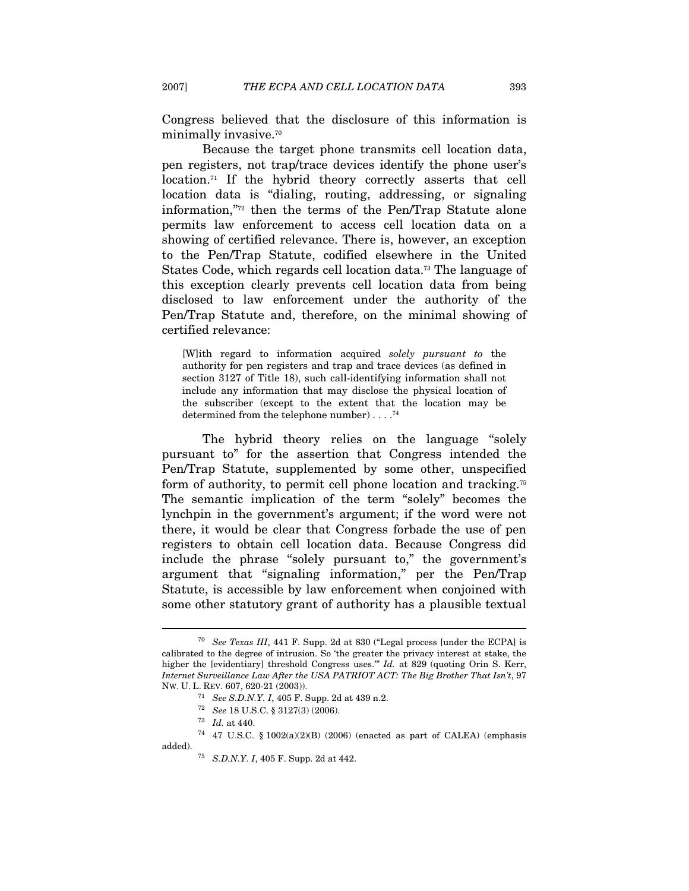Congress believed that the disclosure of this information is minimally invasive.<sup>70</sup>

Because the target phone transmits cell location data, pen registers, not trap/trace devices identify the phone user's location.71 If the hybrid theory correctly asserts that cell location data is "dialing, routing, addressing, or signaling information,"72 then the terms of the Pen/Trap Statute alone permits law enforcement to access cell location data on a showing of certified relevance. There is, however, an exception to the Pen/Trap Statute, codified elsewhere in the United States Code, which regards cell location data.73 The language of this exception clearly prevents cell location data from being disclosed to law enforcement under the authority of the Pen/Trap Statute and, therefore, on the minimal showing of certified relevance:

[W]ith regard to information acquired solely pursuant to the authority for pen registers and trap and trace devices (as defined in section 3127 of Title 18), such call-identifying information shall not include any information that may disclose the physical location of the subscriber (except to the extent that the location may be determined from the telephone number) . . . .74

The hybrid theory relies on the language "solely pursuant to" for the assertion that Congress intended the Pen/Trap Statute, supplemented by some other, unspecified form of authority, to permit cell phone location and tracking.75 The semantic implication of the term "solely" becomes the lynchpin in the government's argument; if the word were not there, it would be clear that Congress forbade the use of pen registers to obtain cell location data. Because Congress did include the phrase "solely pursuant to," the government's argument that "signaling information," per the Pen/Trap Statute, is accessible by law enforcement when conjoined with some other statutory grant of authority has a plausible textual

<sup>&</sup>lt;sup>70</sup> See Texas III, 441 F. Supp. 2d at 830 ("Legal process [under the ECPA] is calibrated to the degree of intrusion. So 'the greater the privacy interest at stake, the higher the [evidentiary] threshold Congress uses."" Id. at 829 (quoting Orin S. Kerr, Internet Surveillance Law After the USA PATRIOT ACT: The Big Brother That Isn't, 97 Nw. U. L. REV. 607, 620-21 (2003)).

<sup>&</sup>lt;sup>71</sup> See S.D.N.Y. I, 405 F. Supp. 2d at 439 n.2.<br><sup>72</sup> See 18 U.S.C. § 3127(3) (2006).<br><sup>73</sup> Id. at 440.

 $^{74}$  47 U.S.C. § 1002(a)(2)(B) (2006) (enacted as part of CALEA) (emphasis added).  $$75\quad S.D.N.Y.$  I, 405 F. Supp. 2d at 442.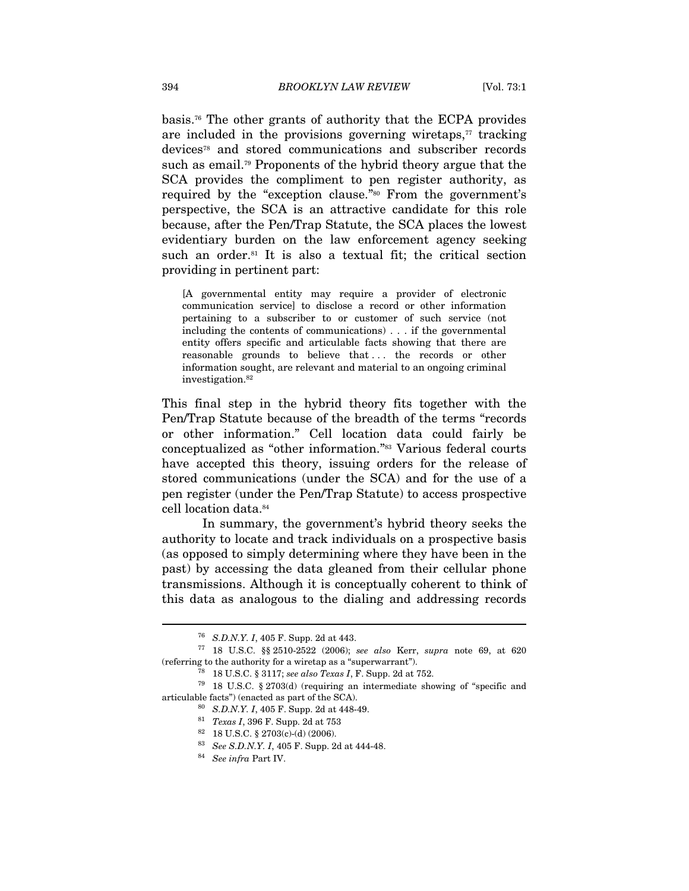basis.76 The other grants of authority that the ECPA provides are included in the provisions governing wiretaps, $\tau$  tracking devices78 and stored communications and subscriber records such as email.79 Proponents of the hybrid theory argue that the SCA provides the compliment to pen register authority, as required by the "exception clause."80 From the government's perspective, the SCA is an attractive candidate for this role because, after the Pen/Trap Statute, the SCA places the lowest evidentiary burden on the law enforcement agency seeking such an order.<sup>81</sup> It is also a textual fit; the critical section providing in pertinent part:

[A governmental entity may require a provider of electronic communication service] to disclose a record or other information pertaining to a subscriber to or customer of such service (not including the contents of communications) . . . if the governmental entity offers specific and articulable facts showing that there are reasonable grounds to believe that ... the records or other information sought, are relevant and material to an ongoing criminal investigation.82

This final step in the hybrid theory fits together with the Pen/Trap Statute because of the breadth of the terms "records or other information." Cell location data could fairly be conceptualized as "other information."83 Various federal courts have accepted this theory, issuing orders for the release of stored communications (under the SCA) and for the use of a pen register (under the Pen/Trap Statute) to access prospective cell location data.84

In summary, the government's hybrid theory seeks the authority to locate and track individuals on a prospective basis (as opposed to simply determining where they have been in the past) by accessing the data gleaned from their cellular phone transmissions. Although it is conceptually coherent to think of this data as analogous to the dialing and addressing records

<sup>&</sup>lt;sup>76</sup> S.D.N.Y. I, 405 F. Supp. 2d at 443.<br><sup>77</sup> 18 U.S.C. §§ 2510-2522 (2006); *see also* Kerr, *supra* note 69, at 620 % (referring to the authority for a wiretap as a "superwarrant").<br><sup>78</sup> 18 U.S.C. § 3117; *see also Texas I*, F. Supp. 2d at 752.<br><sup>79</sup> 18 U.S.C. § 2703(d) (requiring an intermediate showing of "specific and

articulable facts") (enacted as part of the SCA).<br> $^{80}$  S.D.N.Y. I, 405 F. Supp. 2d at 448-49.<br> $^{81}$  Texas I, 396 F. Supp. 2d at 753

 $82$  18 U.S.C. § 2703(c)-(d) (2006).

<sup>&</sup>lt;sup>83</sup> See S.D.N.Y. I, 405 F. Supp. 2d at 444-48.<br><sup>84</sup> See infra Part IV.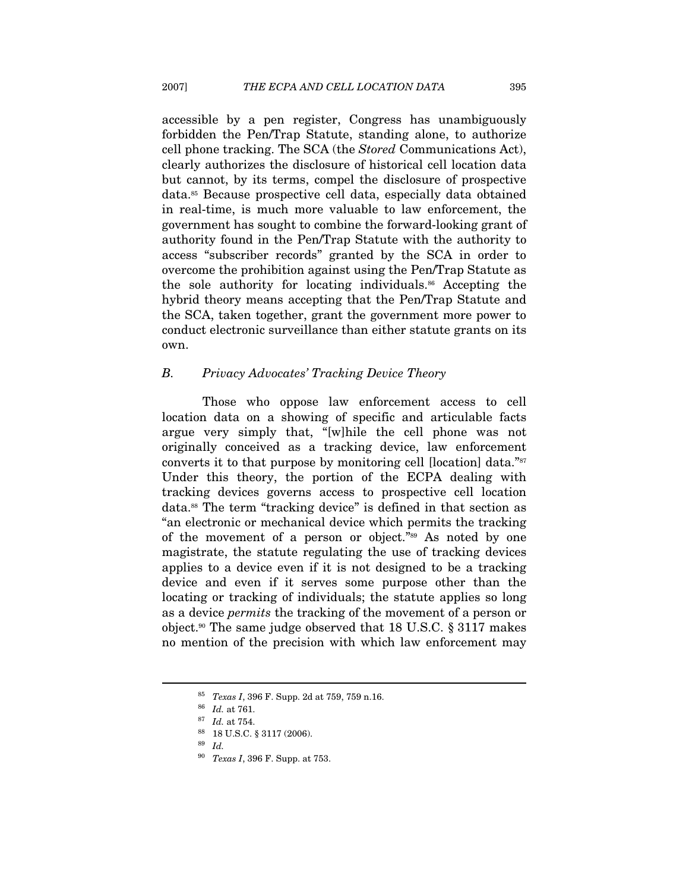accessible by a pen register, Congress has unambiguously forbidden the Pen/Trap Statute, standing alone, to authorize cell phone tracking. The SCA (the Stored Communications Act), clearly authorizes the disclosure of historical cell location data but cannot, by its terms, compel the disclosure of prospective data.85 Because prospective cell data, especially data obtained in real-time, is much more valuable to law enforcement, the government has sought to combine the forward-looking grant of authority found in the Pen/Trap Statute with the authority to access "subscriber records" granted by the SCA in order to overcome the prohibition against using the Pen/Trap Statute as the sole authority for locating individuals.<sup>86</sup> Accepting the hybrid theory means accepting that the Pen/Trap Statute and the SCA, taken together, grant the government more power to conduct electronic surveillance than either statute grants on its own.

#### B. Privacy Advocates' Tracking Device Theory

Those who oppose law enforcement access to cell location data on a showing of specific and articulable facts argue very simply that, "[w]hile the cell phone was not originally conceived as a tracking device, law enforcement converts it to that purpose by monitoring cell [location] data."<sup>87</sup> Under this theory, the portion of the ECPA dealing with tracking devices governs access to prospective cell location data.88 The term "tracking device" is defined in that section as "an electronic or mechanical device which permits the tracking of the movement of a person or object."89 As noted by one magistrate, the statute regulating the use of tracking devices applies to a device even if it is not designed to be a tracking device and even if it serves some purpose other than the locating or tracking of individuals; the statute applies so long as a device permits the tracking of the movement of a person or object.<sup>90</sup> The same judge observed that 18 U.S.C.  $\S 3117$  makes no mention of the precision with which law enforcement may

<sup>&</sup>lt;sup>85</sup> Texas I, 396 F. Supp. 2d at 759, 759 n.16.<br><sup>86</sup> Id. at 761.<br><sup>87</sup> Id. at 754.

<sup>88 18</sup> U.S.C. § 3117 (2006).

<sup>89</sup> Id.

<sup>90</sup> Texas I, 396 F. Supp. at 753.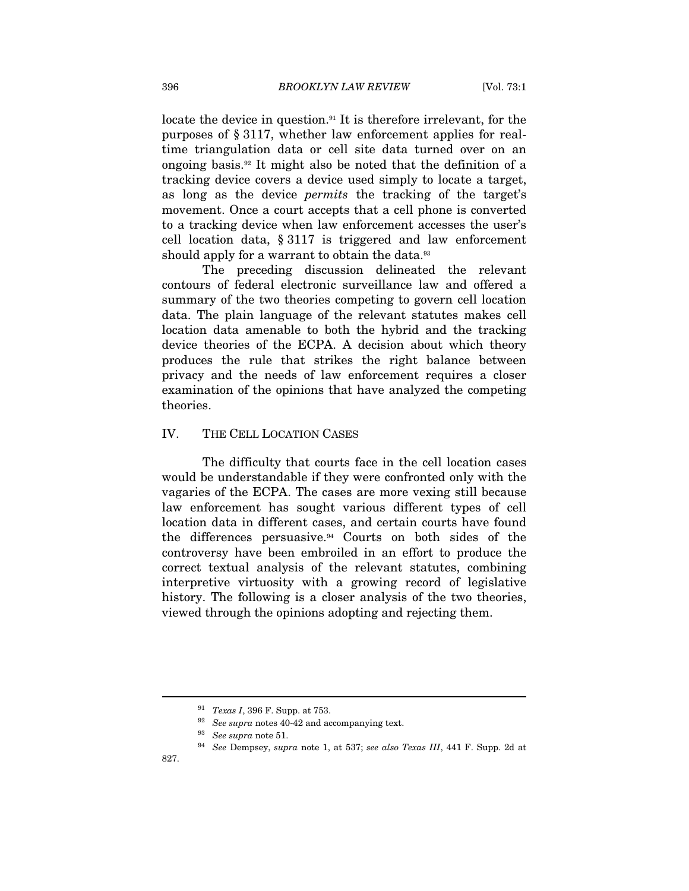locate the device in question.<sup>91</sup> It is therefore irrelevant, for the purposes of § 3117, whether law enforcement applies for realtime triangulation data or cell site data turned over on an ongoing basis.92 It might also be noted that the definition of a tracking device covers a device used simply to locate a target, as long as the device permits the tracking of the target's movement. Once a court accepts that a cell phone is converted to a tracking device when law enforcement accesses the user's cell location data, § 3117 is triggered and law enforcement should apply for a warrant to obtain the data.<sup>93</sup>

The preceding discussion delineated the relevant contours of federal electronic surveillance law and offered a summary of the two theories competing to govern cell location data. The plain language of the relevant statutes makes cell location data amenable to both the hybrid and the tracking device theories of the ECPA. A decision about which theory produces the rule that strikes the right balance between privacy and the needs of law enforcement requires a closer examination of the opinions that have analyzed the competing theories.

#### IV. THE CELL LOCATION CASES

The difficulty that courts face in the cell location cases would be understandable if they were confronted only with the vagaries of the ECPA. The cases are more vexing still because law enforcement has sought various different types of cell location data in different cases, and certain courts have found the differences persuasive.94 Courts on both sides of the controversy have been embroiled in an effort to produce the correct textual analysis of the relevant statutes, combining interpretive virtuosity with a growing record of legislative history. The following is a closer analysis of the two theories, viewed through the opinions adopting and rejecting them.

<sup>91</sup> Texas I, 396 F. Supp. at 753.

<sup>% 92</sup> See supra notes 40-42 and accompanying text.<br>
93 See supra note 51.<br>
94 See Dempsey, supra note 1, at 537; see also Texas III, 441 F. Supp. 2d at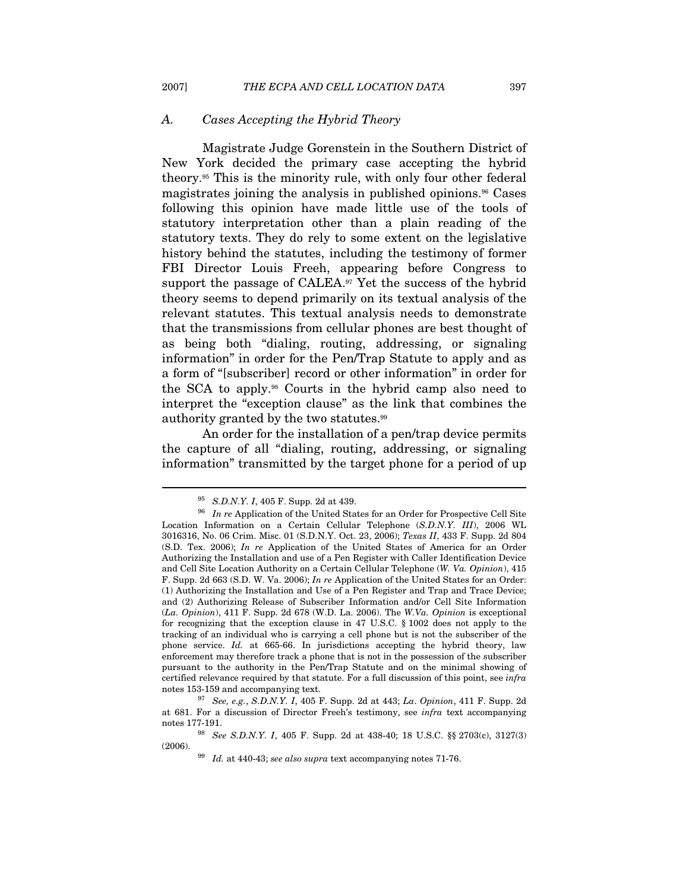#### A. Cases Accepting the Hybrid Theory

Magistrate Judge Gorenstein in the Southern District of New York decided the primary case accepting the hybrid theory.95 This is the minority rule, with only four other federal magistrates joining the analysis in published opinions.96 Cases following this opinion have made little use of the tools of statutory interpretation other than a plain reading of the statutory texts. They do rely to some extent on the legislative history behind the statutes, including the testimony of former FBI Director Louis Freeh, appearing before Congress to support the passage of CALEA.<sup>97</sup> Yet the success of the hybrid theory seems to depend primarily on its textual analysis of the relevant statutes. This textual analysis needs to demonstrate that the transmissions from cellular phones are best thought of as being both "dialing, routing, addressing, or signaling information" in order for the Pen/Trap Statute to apply and as a form of "[subscriber] record or other information" in order for the SCA to apply.98 Courts in the hybrid camp also need to interpret the "exception clause" as the link that combines the authority granted by the two statutes.99

An order for the installation of a pen/trap device permits the capture of all "dialing, routing, addressing, or signaling information" transmitted by the target phone for a period of up

<sup>&</sup>lt;sup>95</sup> S.D.N.Y. I, 405 F. Supp. 2d at 439.<br><sup>96</sup> In re Application of the United States for an Order for Prospective Cell Site Location Information on a Certain Cellular Telephone (S.D.N.Y. III), 2006 WL 3016316, No. 06 Crim. Misc. 01 (S.D.N.Y. Oct. 23, 2006); Texas II, 433 F. Supp. 2d 804 (S.D. Tex. 2006); In re Application of the United States of America for an Order Authorizing the Installation and use of a Pen Register with Caller Identification Device and Cell Site Location Authority on a Certain Cellular Telephone (W. Va. Opinion), 415 F. Supp. 2d 663 (S.D. W. Va. 2006); In re Application of the United States for an Order: (1) Authorizing the Installation and Use of a Pen Register and Trap and Trace Device; and (2) Authorizing Release of Subscriber Information and/or Cell Site Information (La. Opinion), 411 F. Supp. 2d 678 (W.D. La. 2006). The W.Va. Opinion is exceptional for recognizing that the exception clause in 47 U.S.C. § 1002 does not apply to the tracking of an individual who is carrying a cell phone but is not the subscriber of the phone service. Id. at 665-66. In jurisdictions accepting the hybrid theory, law enforcement may therefore track a phone that is not in the possession of the subscriber pursuant to the authority in the Pen/Trap Statute and on the minimal showing of certified relevance required by that statute. For a full discussion of this point, see *infra* notes 153-159 and accompanying text.<br><sup>97</sup> See, e.g., S.D.N.Y. I, 405 F. Supp. 2d at 443; La. Opinion, 411 F. Supp. 2d

at 681. For a discussion of Director Freeh's testimony, see infra text accompanying

notes 177-191.<br><sup>98</sup> See S.D.N.Y. I, 405 F. Supp. 2d at 438-40; 18 U.S.C. §§ 2703(c), 3127(3) (2006).

 $^{99}$   $\,$  Id. at 440-43; see also supra text accompanying notes 71-76.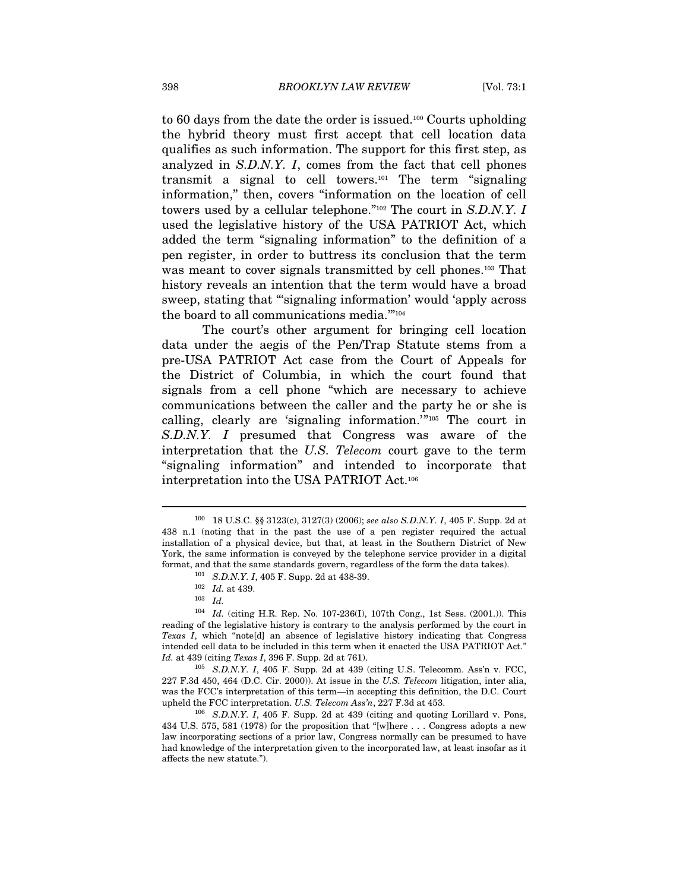to 60 days from the date the order is issued.100 Courts upholding the hybrid theory must first accept that cell location data qualifies as such information. The support for this first step, as analyzed in S.D.N.Y. I, comes from the fact that cell phones transmit a signal to cell towers.101 The term "signaling information," then, covers "information on the location of cell towers used by a cellular telephone."102 The court in S.D.N.Y. I used the legislative history of the USA PATRIOT Act, which added the term "signaling information" to the definition of a pen register, in order to buttress its conclusion that the term was meant to cover signals transmitted by cell phones.<sup>103</sup> That history reveals an intention that the term would have a broad sweep, stating that "'signaling information' would 'apply across the board to all communications media.'"104

The court's other argument for bringing cell location data under the aegis of the Pen/Trap Statute stems from a pre-USA PATRIOT Act case from the Court of Appeals for the District of Columbia, in which the court found that signals from a cell phone "which are necessary to achieve communications between the caller and the party he or she is calling, clearly are 'signaling information.'"105 The court in S.D.N.Y. I presumed that Congress was aware of the interpretation that the U.S. Telecom court gave to the term "signaling information" and intended to incorporate that interpretation into the USA PATRIOT Act.106

<sup>100 18</sup> U.S.C. §§ 3123(c), 3127(3) (2006); see also S.D.N.Y. I, 405 F. Supp. 2d at 438 n.1 (noting that in the past the use of a pen register required the actual installation of a physical device, but that, at least in the Southern District of New York, the same information is conveyed by the telephone service provider in a digital format, and that the same standards govern, regardless of the form the data takes). <sup>101</sup> S.D.N.Y. I, 405 F. Supp. 2d at 438-39. <sup>102</sup> Id. at 439. <sup>103</sup> Id.

<sup>104</sup> Id. (citing H.R. Rep. No. 107-236(I), 107th Cong., 1st Sess. (2001.)). This reading of the legislative history is contrary to the analysis performed by the court in Texas I, which "note[d] an absence of legislative history indicating that Congress intended cell data to be included in this term when it enacted the USA PATRIOT Act."  $Id.$  at 439 (citing Texas I, 396 F. Supp. 2d at 761).

 $105$  S.D.N.Y. I, 405 F. Supp. 2d at 439 (citing U.S. Telecomm. Ass'n v. FCC, 227 F.3d 450, 464 (D.C. Cir. 2000)). At issue in the U.S. Telecom litigation, inter alia, was the FCC's interpretation of this term—in accepting this definition, the D.C. Court upheld the FCC interpretation. U.S. Telecom Ass'n, 227 F.3d at 453.<br><sup>106</sup> S.D.N.Y. I, 405 F. Supp. 2d at 439 (citing and quoting Lorillard v. Pons,

<sup>434</sup> U.S. 575, 581 (1978) for the proposition that "[w]here . . . Congress adopts a new law incorporating sections of a prior law, Congress normally can be presumed to have had knowledge of the interpretation given to the incorporated law, at least insofar as it affects the new statute.").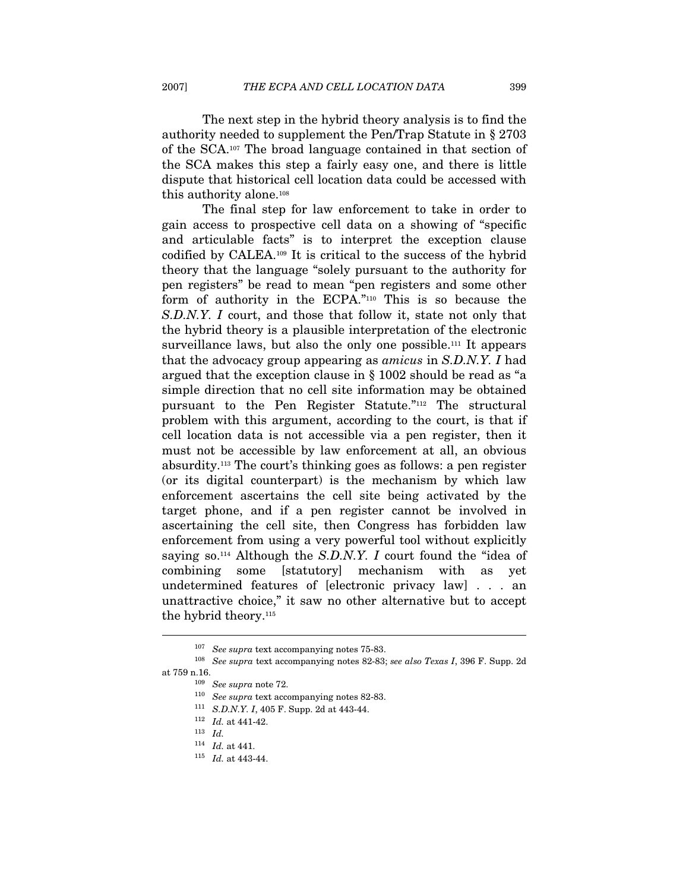The next step in the hybrid theory analysis is to find the authority needed to supplement the Pen/Trap Statute in § 2703 of the SCA.107 The broad language contained in that section of the SCA makes this step a fairly easy one, and there is little dispute that historical cell location data could be accessed with this authority alone.108

The final step for law enforcement to take in order to gain access to prospective cell data on a showing of "specific and articulable facts" is to interpret the exception clause codified by CALEA.109 It is critical to the success of the hybrid theory that the language "solely pursuant to the authority for pen registers" be read to mean "pen registers and some other form of authority in the ECPA."110 This is so because the S.D.N.Y. I court, and those that follow it, state not only that the hybrid theory is a plausible interpretation of the electronic surveillance laws, but also the only one possible.111 It appears that the advocacy group appearing as amicus in S.D.N.Y. I had argued that the exception clause in § 1002 should be read as "a simple direction that no cell site information may be obtained pursuant to the Pen Register Statute."112 The structural problem with this argument, according to the court, is that if cell location data is not accessible via a pen register, then it must not be accessible by law enforcement at all, an obvious absurdity.113 The court's thinking goes as follows: a pen register (or its digital counterpart) is the mechanism by which law enforcement ascertains the cell site being activated by the target phone, and if a pen register cannot be involved in ascertaining the cell site, then Congress has forbidden law enforcement from using a very powerful tool without explicitly saying so.<sup>114</sup> Although the S.D.N.Y. I court found the "idea of combining some [statutory] mechanism with as yet undetermined features of [electronic privacy law] . . . an unattractive choice," it saw no other alternative but to accept the hybrid theory.115

 $^{107}\,$  See supra text accompanying notes 75-83.  $^{108}\,$  See supra text accompanying notes 82-83; see also Texas I, 396 F. Supp. 2d at 759 n.16.

<sup>&</sup>lt;sup>109</sup> See supra note 72.<br><sup>110</sup> See supra text accompanying notes 82-83.<br><sup>111</sup> S.D.N.Y. I, 405 F. Supp. 2d at 443-44.<br><sup>112</sup> Id. at 441-42.

 $^{113}\;$   $Id.$ 

 $\frac{114}{115}$  *Id.* at 441.<br><sup>115</sup> *Id.* at 443-44.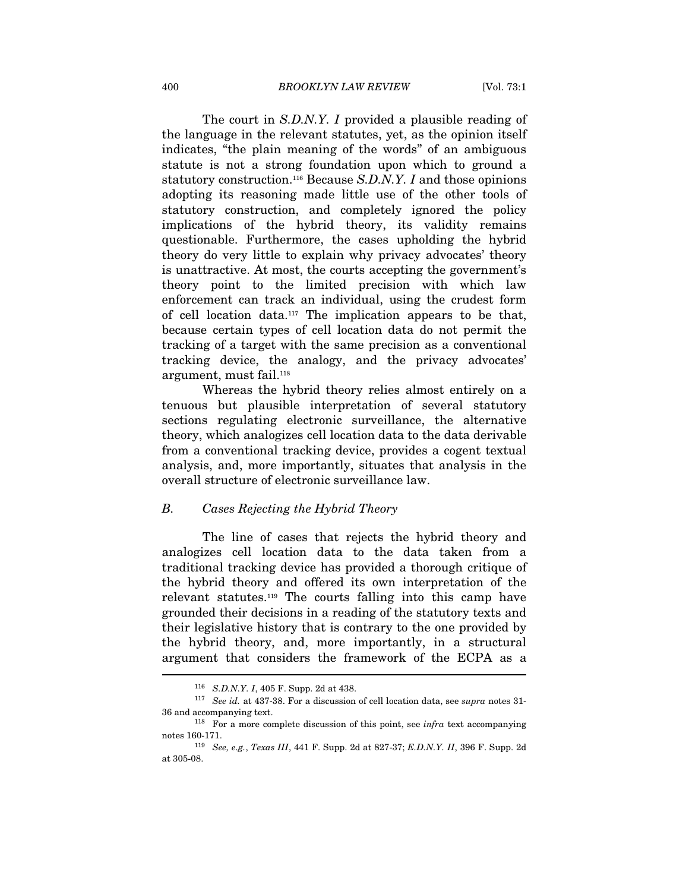The court in S.D.N.Y. I provided a plausible reading of the language in the relevant statutes, yet, as the opinion itself indicates, "the plain meaning of the words" of an ambiguous statute is not a strong foundation upon which to ground a statutory construction.<sup>116</sup> Because S.D.N.Y. I and those opinions adopting its reasoning made little use of the other tools of statutory construction, and completely ignored the policy implications of the hybrid theory, its validity remains questionable. Furthermore, the cases upholding the hybrid theory do very little to explain why privacy advocates' theory is unattractive. At most, the courts accepting the government's theory point to the limited precision with which law enforcement can track an individual, using the crudest form of cell location data.117 The implication appears to be that, because certain types of cell location data do not permit the tracking of a target with the same precision as a conventional tracking device, the analogy, and the privacy advocates' argument, must fail.118

Whereas the hybrid theory relies almost entirely on a tenuous but plausible interpretation of several statutory sections regulating electronic surveillance, the alternative theory, which analogizes cell location data to the data derivable from a conventional tracking device, provides a cogent textual analysis, and, more importantly, situates that analysis in the overall structure of electronic surveillance law.

#### B. Cases Rejecting the Hybrid Theory

The line of cases that rejects the hybrid theory and analogizes cell location data to the data taken from a traditional tracking device has provided a thorough critique of the hybrid theory and offered its own interpretation of the relevant statutes.119 The courts falling into this camp have grounded their decisions in a reading of the statutory texts and their legislative history that is contrary to the one provided by the hybrid theory, and, more importantly, in a structural argument that considers the framework of the ECPA as a  $\overline{a}$ 

<sup>&</sup>lt;sup>116</sup> S.D.N.Y. I, 405 F. Supp. 2d at 438.<br><sup>117</sup> See id. at 437-38. For a discussion of cell location data, see *supra* notes 31-36 and accompanying text.<br><sup>118</sup> For a more complete discussion of this point, see *infra* text accompanying

notes 160-171.<br><sup>119</sup> See, e.g., *Texas III*, 441 F. Supp. 2d at 827-37; *E.D.N.Y. II*, 396 F. Supp. 2d

at 305-08.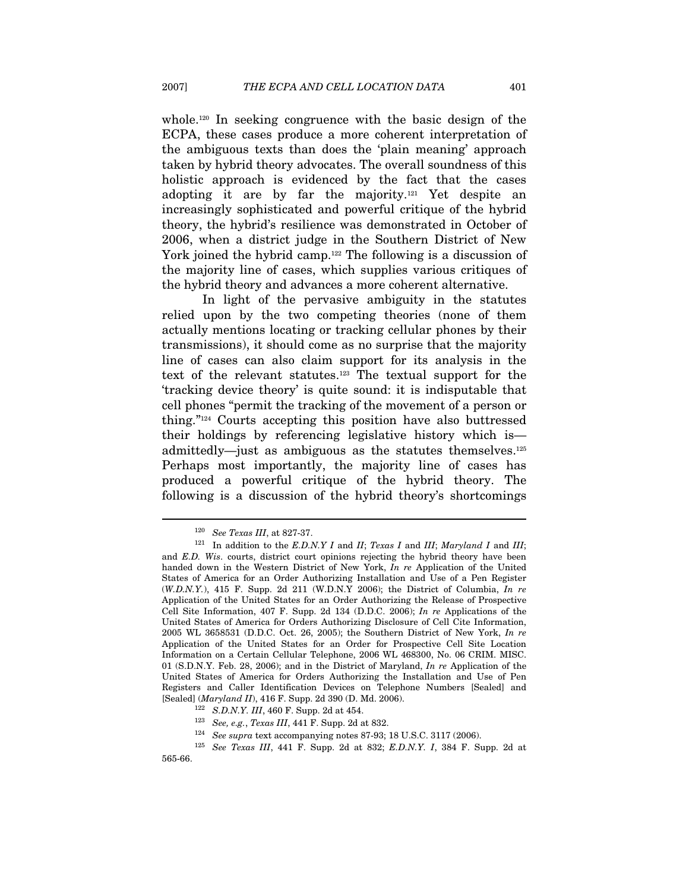whole.120 In seeking congruence with the basic design of the ECPA, these cases produce a more coherent interpretation of the ambiguous texts than does the 'plain meaning' approach taken by hybrid theory advocates. The overall soundness of this holistic approach is evidenced by the fact that the cases adopting it are by far the majority.121 Yet despite an increasingly sophisticated and powerful critique of the hybrid theory, the hybrid's resilience was demonstrated in October of 2006, when a district judge in the Southern District of New York joined the hybrid camp.<sup>122</sup> The following is a discussion of the majority line of cases, which supplies various critiques of the hybrid theory and advances a more coherent alternative.

In light of the pervasive ambiguity in the statutes relied upon by the two competing theories (none of them actually mentions locating or tracking cellular phones by their transmissions), it should come as no surprise that the majority line of cases can also claim support for its analysis in the text of the relevant statutes.123 The textual support for the 'tracking device theory' is quite sound: it is indisputable that cell phones "permit the tracking of the movement of a person or thing."124 Courts accepting this position have also buttressed their holdings by referencing legislative history which is admittedly—just as ambiguous as the statutes themselves.125 Perhaps most importantly, the majority line of cases has produced a powerful critique of the hybrid theory. The following is a discussion of the hybrid theory's shortcomings

<sup>&</sup>lt;sup>120</sup> See Texas III, at 827-37.<br><sup>121</sup> In addition to the E.D.N.Y I and II; Texas I and III; Maryland I and III; and E.D. Wis. courts, district court opinions rejecting the hybrid theory have been handed down in the Western District of New York, In re Application of the United States of America for an Order Authorizing Installation and Use of a Pen Register (W.D.N.Y.), 415 F. Supp. 2d 211 (W.D.N.Y 2006); the District of Columbia, In re Application of the United States for an Order Authorizing the Release of Prospective Cell Site Information, 407 F. Supp. 2d 134 (D.D.C. 2006); In re Applications of the United States of America for Orders Authorizing Disclosure of Cell Cite Information, 2005 WL 3658531 (D.D.C. Oct. 26, 2005); the Southern District of New York, In re Application of the United States for an Order for Prospective Cell Site Location Information on a Certain Cellular Telephone, 2006 WL 468300, No. 06 CRIM. MISC. 01 (S.D.N.Y. Feb. 28, 2006); and in the District of Maryland,  $In\ re$  Application of the United States of America for Orders Authorizing the Installation and Use of Pen Registers and Caller Identification Devices on Telephone Numbers [Sealed] and

 $[Sealed] \ (Maryland II), 416 \ F. \ \mbox{Supp. 2d 390 (D. Md. 2006).} \\ ^{122} \ \ S. D.N.Y. \ III, 460 \ F. \ \mbox{Supp. 2d at 454.} \\ ^{123} \ \ See \ e. \ e. \ C. \ \mbox{ex} \ F. \ \mbox{Supp. 2d at 832.} \\ ^{124} \ \ See \ \ supera text accompanying notes \ 87-93; 18 U.S.C. \ 3117 (2006). \\ ^{125} \ \ See \ \ Texas \ III, \ 441 \ F. \ \mbox{Supp. 2d at 832;}$ 565-66.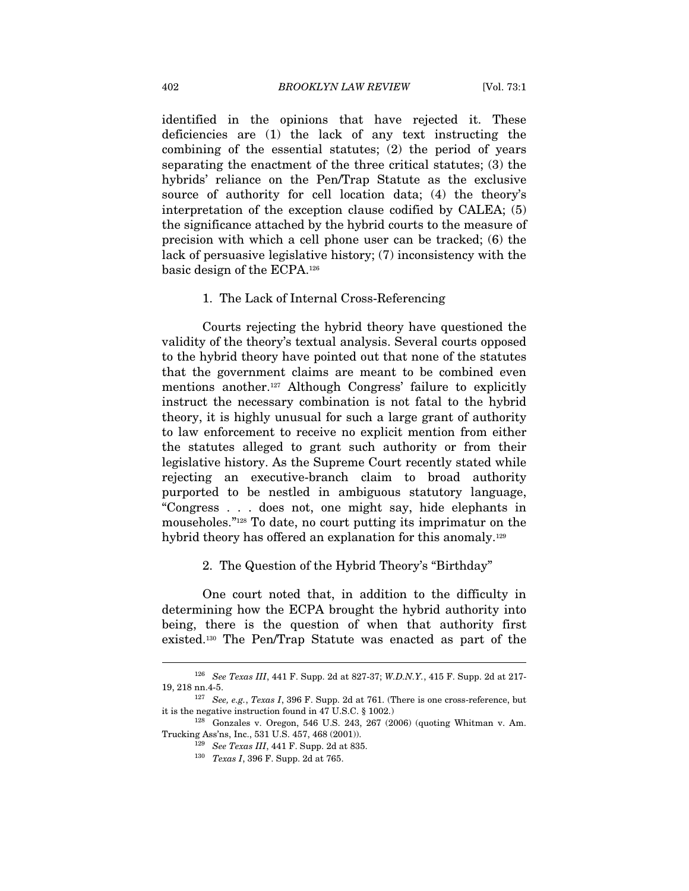identified in the opinions that have rejected it. These deficiencies are (1) the lack of any text instructing the combining of the essential statutes; (2) the period of years separating the enactment of the three critical statutes; (3) the hybrids' reliance on the Pen/Trap Statute as the exclusive source of authority for cell location data; (4) the theory's interpretation of the exception clause codified by CALEA; (5) the significance attached by the hybrid courts to the measure of precision with which a cell phone user can be tracked; (6) the lack of persuasive legislative history; (7) inconsistency with the basic design of the ECPA.126

#### 1. The Lack of Internal Cross-Referencing

Courts rejecting the hybrid theory have questioned the validity of the theory's textual analysis. Several courts opposed to the hybrid theory have pointed out that none of the statutes that the government claims are meant to be combined even mentions another.127 Although Congress' failure to explicitly instruct the necessary combination is not fatal to the hybrid theory, it is highly unusual for such a large grant of authority to law enforcement to receive no explicit mention from either the statutes alleged to grant such authority or from their legislative history. As the Supreme Court recently stated while rejecting an executive-branch claim to broad authority purported to be nestled in ambiguous statutory language, "Congress . . . does not, one might say, hide elephants in mouseholes."128 To date, no court putting its imprimatur on the hybrid theory has offered an explanation for this anomaly.<sup>129</sup>

#### 2. The Question of the Hybrid Theory's "Birthday"

One court noted that, in addition to the difficulty in determining how the ECPA brought the hybrid authority into being, there is the question of when that authority first existed.130 The Pen/Trap Statute was enacted as part of the

<sup>126</sup> See Texas III, 441 F. Supp. 2d at 827-37; W.D.N.Y., 415 F. Supp. 2d at 217-

<sup>19, 218</sup> nn.4-5.<br><sup>127</sup> See, e.g., Texas I, 396 F. Supp. 2d at 761. (There is one cross-reference, but it is the negative instruction found in 47 U.S.C. § 1002.)

 $128$  Gonzales v. Oregon, 546 U.S. 243, 267 (2006) (quoting Whitman v. Am. Trucking Ass'ns, Inc., 531 U.S. 457, 468 (2001)).<br><sup>129</sup> See Texas III, 441 F. Supp. 2d at 835.<br><sup>130</sup> Texas I, 396 F. Supp. 2d at 765.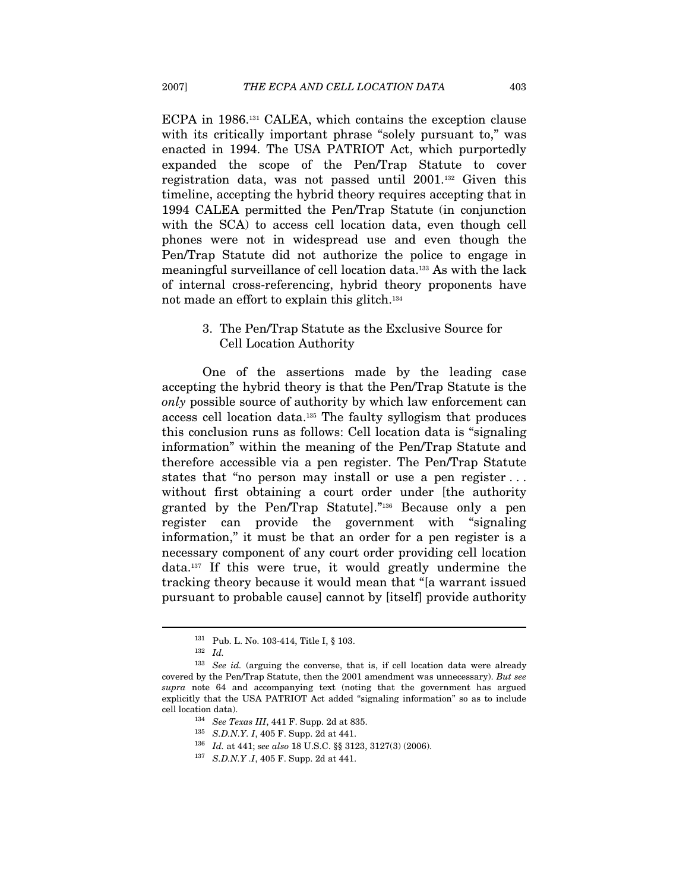ECPA in 1986.131 CALEA, which contains the exception clause with its critically important phrase "solely pursuant to," was enacted in 1994. The USA PATRIOT Act, which purportedly expanded the scope of the Pen/Trap Statute to cover registration data, was not passed until 2001.132 Given this timeline, accepting the hybrid theory requires accepting that in 1994 CALEA permitted the Pen/Trap Statute (in conjunction with the SCA) to access cell location data, even though cell phones were not in widespread use and even though the Pen/Trap Statute did not authorize the police to engage in meaningful surveillance of cell location data.133 As with the lack of internal cross-referencing, hybrid theory proponents have not made an effort to explain this glitch.134

#### 3. The Pen/Trap Statute as the Exclusive Source for Cell Location Authority

One of the assertions made by the leading case accepting the hybrid theory is that the Pen/Trap Statute is the only possible source of authority by which law enforcement can access cell location data.135 The faulty syllogism that produces this conclusion runs as follows: Cell location data is "signaling information" within the meaning of the Pen/Trap Statute and therefore accessible via a pen register. The Pen/Trap Statute states that "no person may install or use a pen register . . . without first obtaining a court order under [the authority] granted by the Pen/Trap Statute]."136 Because only a pen register can provide the government with "signaling information," it must be that an order for a pen register is a necessary component of any court order providing cell location data.137 If this were true, it would greatly undermine the tracking theory because it would mean that "[a warrant issued pursuant to probable cause] cannot by [itself] provide authority

<sup>131</sup> Pub. L. No. 103-414, Title I, § 103.

 $^{132}\;$   $Id.$ 

<sup>&</sup>lt;sup>133</sup> See id. (arguing the converse, that is, if cell location data were already covered by the Pen/Trap Statute, then the 2001 amendment was unnecessary). But see supra note 64 and accompanying text (noting that the government has argued explicitly that the USA PATRIOT Act added "signaling information" so as to include cell location data).  $^{134}$  See Texas III, 441 F. Supp. 2d at 835.

<sup>135</sup> S.D.N.Y. I, 405 F. Supp. 2d at 441.

<sup>136</sup> Id. at 441; see also 18 U.S.C.  $\S$  3123, 3127(3) (2006).<br><sup>137</sup> S.D.N.Y .I, 405 F. Supp. 2d at 441.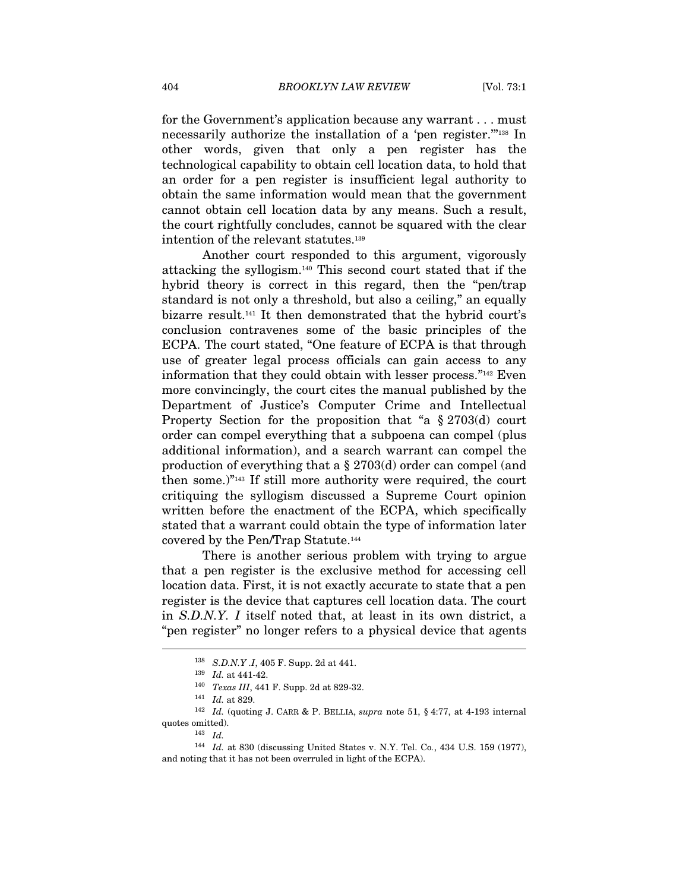for the Government's application because any warrant . . . must necessarily authorize the installation of a 'pen register."<sup>138</sup> In other words, given that only a pen register has the technological capability to obtain cell location data, to hold that an order for a pen register is insufficient legal authority to obtain the same information would mean that the government cannot obtain cell location data by any means. Such a result, the court rightfully concludes, cannot be squared with the clear intention of the relevant statutes.139

Another court responded to this argument, vigorously attacking the syllogism.140 This second court stated that if the hybrid theory is correct in this regard, then the "pen/trap standard is not only a threshold, but also a ceiling," an equally bizarre result.141 It then demonstrated that the hybrid court's conclusion contravenes some of the basic principles of the ECPA. The court stated, "One feature of ECPA is that through use of greater legal process officials can gain access to any information that they could obtain with lesser process."142 Even more convincingly, the court cites the manual published by the Department of Justice's Computer Crime and Intellectual Property Section for the proposition that "a § 2703(d) court order can compel everything that a subpoena can compel (plus additional information), and a search warrant can compel the production of everything that a § 2703(d) order can compel (and then some.)"143 If still more authority were required, the court critiquing the syllogism discussed a Supreme Court opinion written before the enactment of the ECPA, which specifically stated that a warrant could obtain the type of information later covered by the Pen/Trap Statute.144

There is another serious problem with trying to argue that a pen register is the exclusive method for accessing cell location data. First, it is not exactly accurate to state that a pen register is the device that captures cell location data. The court in S.D.N.Y. I itself noted that, at least in its own district, a "pen register" no longer refers to a physical device that agents

<sup>&</sup>lt;sup>138</sup> S.D.N.Y .I, 405 F. Supp. 2d at 441.<br><sup>139</sup> Id. at 441-42.<br><sup>140</sup> Texas III, 441 F. Supp. 2d at 829-32.<br><sup>141</sup> Id. at 829.

 $^{142}$   $\,$   $Id.$  (quoting J. CARR & P. BELLIA,  $supra$  note 51, § 4:77, at 4-193 internal quotes omitted).<br> $\frac{143}{Id}$ .

<sup>144</sup> Id. at 830 (discussing United States v. N.Y. Tel. Co., 434 U.S. 159 (1977), and noting that it has not been overruled in light of the ECPA).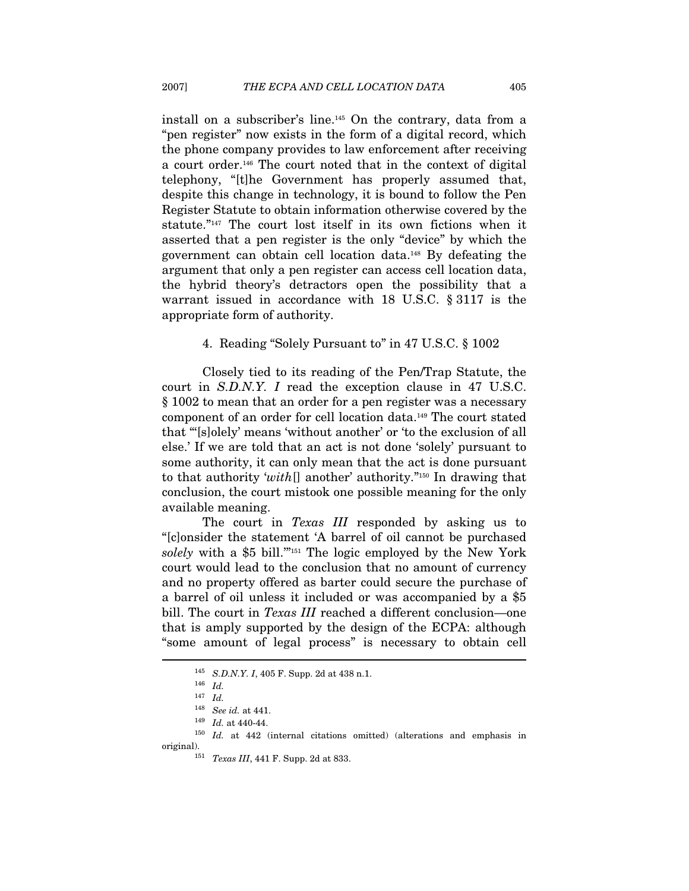install on a subscriber's line.145 On the contrary, data from a "pen register" now exists in the form of a digital record, which the phone company provides to law enforcement after receiving a court order.146 The court noted that in the context of digital telephony, "[t]he Government has properly assumed that, despite this change in technology, it is bound to follow the Pen Register Statute to obtain information otherwise covered by the statute."<sup>147</sup> The court lost itself in its own fictions when it asserted that a pen register is the only "device" by which the government can obtain cell location data.148 By defeating the argument that only a pen register can access cell location data, the hybrid theory's detractors open the possibility that a warrant issued in accordance with 18 U.S.C. § 3117 is the appropriate form of authority.

#### 4. Reading "Solely Pursuant to" in 47 U.S.C. § 1002

Closely tied to its reading of the Pen/Trap Statute, the court in S.D.N.Y. I read the exception clause in 47 U.S.C. § 1002 to mean that an order for a pen register was a necessary component of an order for cell location data.149 The court stated that "'[s]olely' means 'without another' or 'to the exclusion of all else.' If we are told that an act is not done 'solely' pursuant to some authority, it can only mean that the act is done pursuant to that authority 'with[] another' authority."150 In drawing that conclusion, the court mistook one possible meaning for the only available meaning.

The court in Texas III responded by asking us to "[c]onsider the statement 'A barrel of oil cannot be purchased solely with a \$5 bill."<sup>151</sup> The logic employed by the New York court would lead to the conclusion that no amount of currency and no property offered as barter could secure the purchase of a barrel of oil unless it included or was accompanied by a \$5 bill. The court in *Texas III* reached a different conclusion—one that is amply supported by the design of the ECPA: although "some amount of legal process" is necessary to obtain cell  $\overline{a}$ 

 $^{145}$   $\,$  S.D.N.Y. I, 405 F. Supp. 2d at 438 n.1.  $^{146}$   $\,$   $Id_{\cdot}$ 

 $147$  *Id.* 

 $\begin{array}{lll} \text{148} \quad \text{See}\ \text{id. at 441.}\\ \text{149} \quad \text{Id. at 440-44.}\\ \text{150} \quad \text{Id. at 442}\ \text{(internal citations omitted)} \ \text{(alternations and emphasis in)} \end{array}$ original).<br> $151$  Texas III, 441 F. Supp. 2d at 833.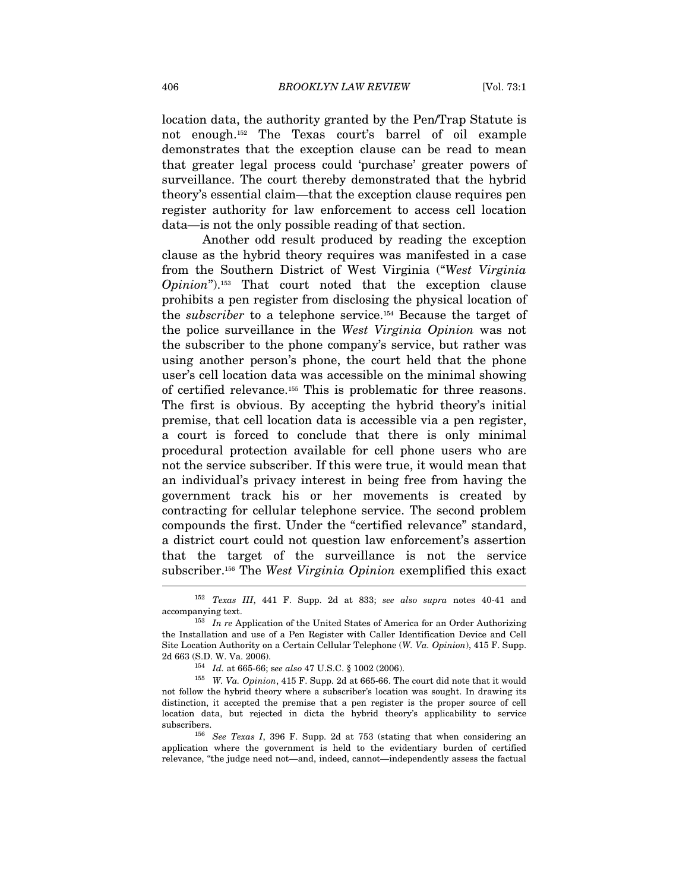location data, the authority granted by the Pen/Trap Statute is not enough.152 The Texas court's barrel of oil example demonstrates that the exception clause can be read to mean that greater legal process could 'purchase' greater powers of surveillance. The court thereby demonstrated that the hybrid theory's essential claim—that the exception clause requires pen register authority for law enforcement to access cell location data—is not the only possible reading of that section.

Another odd result produced by reading the exception clause as the hybrid theory requires was manifested in a case from the Southern District of West Virginia ("West Virginia Opinion").153 That court noted that the exception clause prohibits a pen register from disclosing the physical location of the subscriber to a telephone service.154 Because the target of the police surveillance in the West Virginia Opinion was not the subscriber to the phone company's service, but rather was using another person's phone, the court held that the phone user's cell location data was accessible on the minimal showing of certified relevance.155 This is problematic for three reasons. The first is obvious. By accepting the hybrid theory's initial premise, that cell location data is accessible via a pen register, a court is forced to conclude that there is only minimal procedural protection available for cell phone users who are not the service subscriber. If this were true, it would mean that an individual's privacy interest in being free from having the government track his or her movements is created by contracting for cellular telephone service. The second problem compounds the first. Under the "certified relevance" standard, a district court could not question law enforcement's assertion that the target of the surveillance is not the service subscriber.<sup>156</sup> The West Virginia Opinion exemplified this exact

<sup>152</sup> Texas III, 441 F. Supp. 2d at 833; see also supra notes 40-41 and accompanying text.<br><sup>153</sup> In re Application of the United States of America for an Order Authorizing

the Installation and use of a Pen Register with Caller Identification Device and Cell Site Location Authority on a Certain Cellular Telephone (W. Va. Opinion), 415 F. Supp. 2d 663 (S.D. W. Va. 2006).<br><sup>154</sup> Id. at 665-66; see also 47 U.S.C. § 1002 (2006).<br><sup>155</sup> W. *Va. Opinion*, 415 F. Supp. 2d at 665-66. The court did note that it would

not follow the hybrid theory where a subscriber's location was sought. In drawing its distinction, it accepted the premise that a pen register is the proper source of cell location data, but rejected in dicta the hybrid theory's applicability to service subscribers.<br><sup>156</sup> See Texas I, 396 F. Supp. 2d at 753 (stating that when considering an

application where the government is held to the evidentiary burden of certified relevance, "the judge need not—and, indeed, cannot—independently assess the factual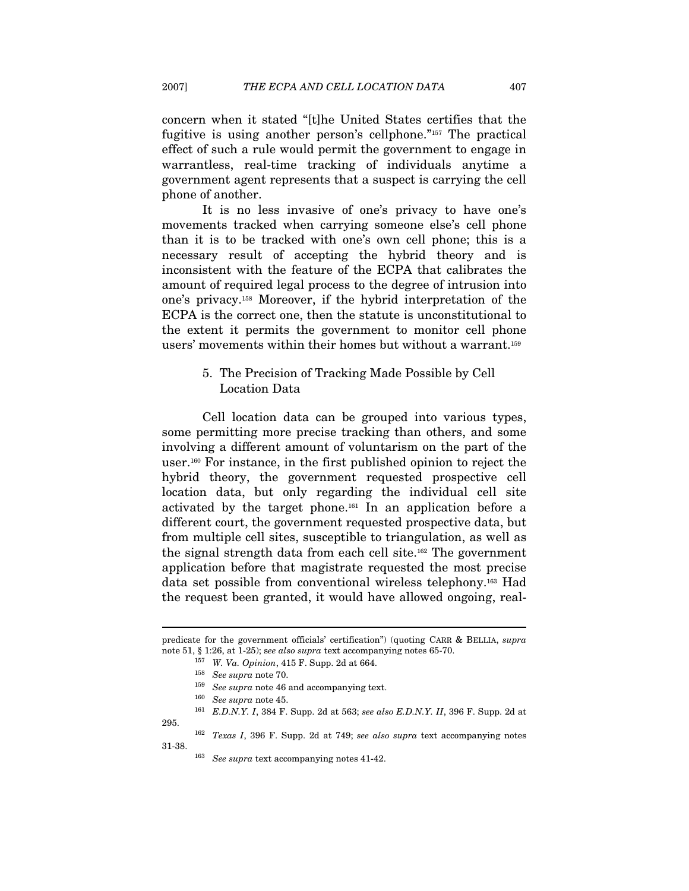concern when it stated "[t]he United States certifies that the fugitive is using another person's cellphone."157 The practical effect of such a rule would permit the government to engage in warrantless, real-time tracking of individuals anytime a government agent represents that a suspect is carrying the cell phone of another.

It is no less invasive of one's privacy to have one's movements tracked when carrying someone else's cell phone than it is to be tracked with one's own cell phone; this is a necessary result of accepting the hybrid theory and is inconsistent with the feature of the ECPA that calibrates the amount of required legal process to the degree of intrusion into one's privacy.158 Moreover, if the hybrid interpretation of the ECPA is the correct one, then the statute is unconstitutional to the extent it permits the government to monitor cell phone users' movements within their homes but without a warrant.159

### 5. The Precision of Tracking Made Possible by Cell Location Data

Cell location data can be grouped into various types, some permitting more precise tracking than others, and some involving a different amount of voluntarism on the part of the user.160 For instance, in the first published opinion to reject the hybrid theory, the government requested prospective cell location data, but only regarding the individual cell site activated by the target phone.161 In an application before a different court, the government requested prospective data, but from multiple cell sites, susceptible to triangulation, as well as the signal strength data from each cell site.162 The government application before that magistrate requested the most precise data set possible from conventional wireless telephony.163 Had the request been granted, it would have allowed ongoing, real-

predicate for the government officials' certification") (quoting CARR & BELLIA, supra note 51, § 1:26, at 1-25); see also supra text accompanying notes 65-70.<br><sup>157</sup> W. Va. Opinion, 415 F. Supp. 2d at 664.<br><sup>158</sup> See supra note 70.<br><sup>159</sup> See supra note 46 and accompanying text.<br><sup>160</sup> See supra note 45.

 $^{161}\;$  E.D.N.Y. I, 384 F. Supp. 2d at 563; see also E.D.N.Y. II, 396 F. Supp. 2d at

<sup>295.</sup>  $162$  Texas I, 396 F. Supp. 2d at 749; see also supra text accompanying notes 31-38.

 $163$  See supra text accompanying notes 41-42.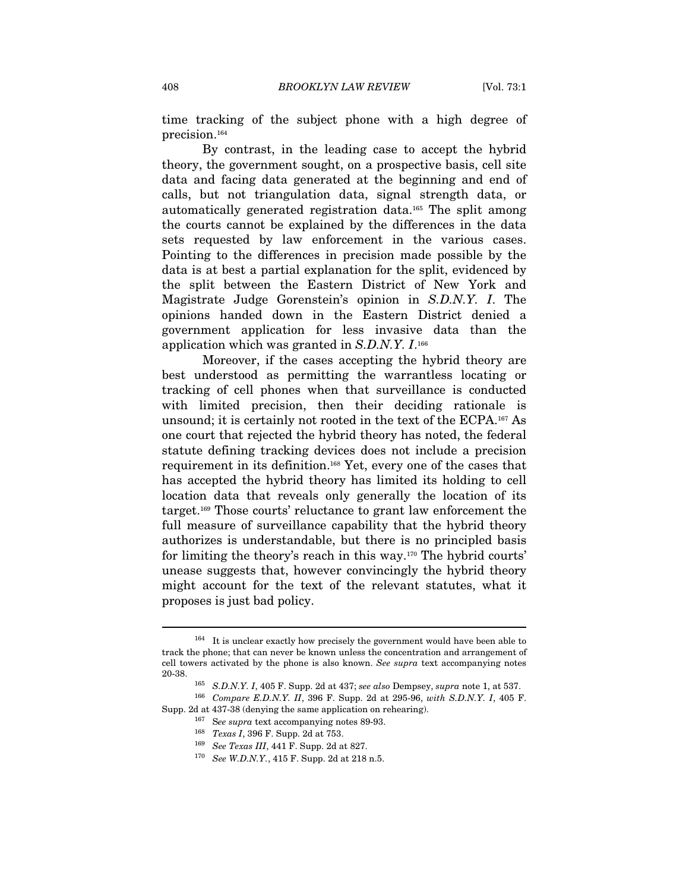time tracking of the subject phone with a high degree of precision.164

By contrast, in the leading case to accept the hybrid theory, the government sought, on a prospective basis, cell site data and facing data generated at the beginning and end of calls, but not triangulation data, signal strength data, or automatically generated registration data.165 The split among the courts cannot be explained by the differences in the data sets requested by law enforcement in the various cases. Pointing to the differences in precision made possible by the data is at best a partial explanation for the split, evidenced by the split between the Eastern District of New York and Magistrate Judge Gorenstein's opinion in S.D.N.Y. I. The opinions handed down in the Eastern District denied a government application for less invasive data than the application which was granted in S.D.N.Y. I.166

Moreover, if the cases accepting the hybrid theory are best understood as permitting the warrantless locating or tracking of cell phones when that surveillance is conducted with limited precision, then their deciding rationale is unsound; it is certainly not rooted in the text of the ECPA.167 As one court that rejected the hybrid theory has noted, the federal statute defining tracking devices does not include a precision requirement in its definition.168 Yet, every one of the cases that has accepted the hybrid theory has limited its holding to cell location data that reveals only generally the location of its target.169 Those courts' reluctance to grant law enforcement the full measure of surveillance capability that the hybrid theory authorizes is understandable, but there is no principled basis for limiting the theory's reach in this way.170 The hybrid courts' unease suggests that, however convincingly the hybrid theory might account for the text of the relevant statutes, what it proposes is just bad policy.

<sup>164</sup> It is unclear exactly how precisely the government would have been able to track the phone; that can never be known unless the concentration and arrangement of cell towers activated by the phone is also known. See supra text accompanying notes 20-38. 165 S.D.N.Y. I, 405 F. Supp. 2d at 437; see also Dempsey, supra note 1, at 537. 166 Compare E.D.N.Y. II, 396 F. Supp. 2d at 295-96, with S.D.N.Y. I, 405 F.

Supp. 2d at 437-38 (denying the same application on rehearing). 167 See supra text accompanying notes 89-93.

<sup>&</sup>lt;sup>168</sup> *Texas I*, 396 F. Supp. 2d at 753.<br><sup>169</sup> *See Texas III*, 441 F. Supp. 2d at 827.<br><sup>170</sup> *See W.D.N.Y.*, 415 F. Supp. 2d at 218 n.5.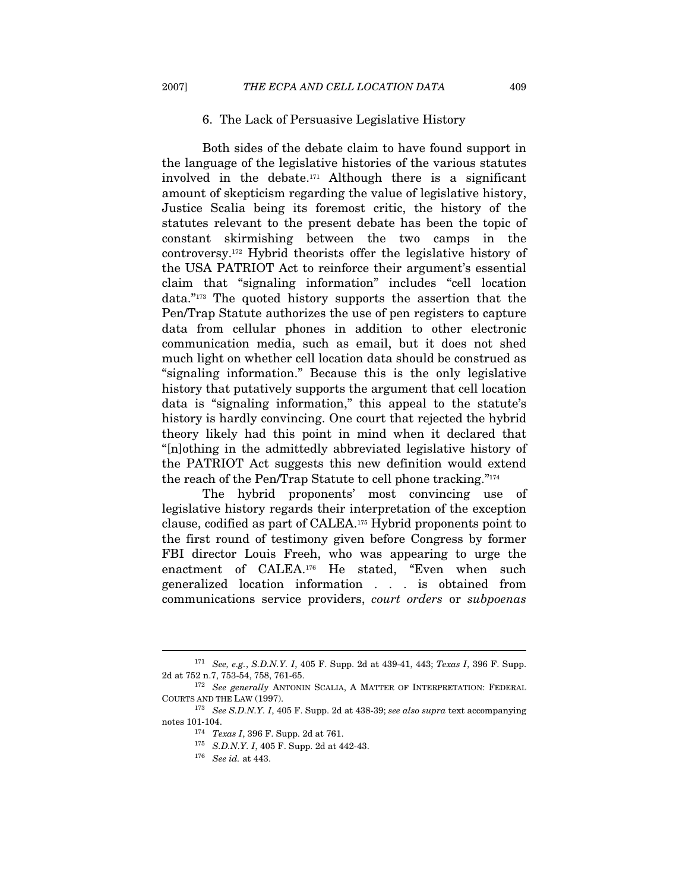#### 6. The Lack of Persuasive Legislative History

Both sides of the debate claim to have found support in the language of the legislative histories of the various statutes involved in the debate.171 Although there is a significant amount of skepticism regarding the value of legislative history, Justice Scalia being its foremost critic, the history of the statutes relevant to the present debate has been the topic of constant skirmishing between the two camps in the controversy.172 Hybrid theorists offer the legislative history of the USA PATRIOT Act to reinforce their argument's essential claim that "signaling information" includes "cell location data."173 The quoted history supports the assertion that the Pen/Trap Statute authorizes the use of pen registers to capture data from cellular phones in addition to other electronic communication media, such as email, but it does not shed much light on whether cell location data should be construed as "signaling information." Because this is the only legislative history that putatively supports the argument that cell location data is "signaling information," this appeal to the statute's history is hardly convincing. One court that rejected the hybrid theory likely had this point in mind when it declared that "[n]othing in the admittedly abbreviated legislative history of the PATRIOT Act suggests this new definition would extend the reach of the Pen/Trap Statute to cell phone tracking."174

The hybrid proponents' most convincing use of legislative history regards their interpretation of the exception clause, codified as part of CALEA.175 Hybrid proponents point to the first round of testimony given before Congress by former FBI director Louis Freeh, who was appearing to urge the enactment of CALEA.176 He stated, "Even when such generalized location information . . . is obtained from communications service providers, court orders or subpoenas

 $^{171}$   $\,$  See, e.g., S.D.N.Y. I, 405 F. Supp. 2d at 439-41, 443;  $\, Texas$   $I,$  396 F. Supp. 2d at 752 n.7, 753-54, 758, 761-65.

 $^{172}$   $\,$   $\,$  *See generally* ANTONIN SCALIA, A MATTER OF INTERPRETATION: FEDERAL COURTS AND THE LAW (1997).

 $C^{173}$  See S.D.N.Y. I, 405 F. Supp. 2d at 438-39; see also supra text accompanying notes 101-104.<br><sup>174</sup> Texas I, 396 F. Supp. 2d at 761.<br><sup>175</sup> S.D.N.Y. I, 405 F. Supp. 2d at 442-43.

 $176$  See id. at 443.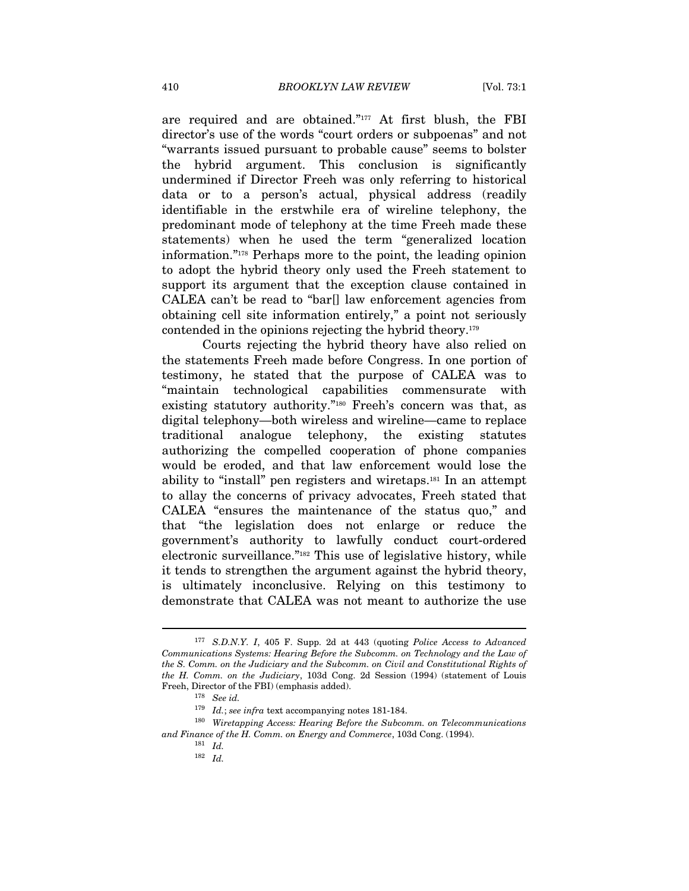are required and are obtained."177 At first blush, the FBI director's use of the words "court orders or subpoenas" and not "warrants issued pursuant to probable cause" seems to bolster the hybrid argument. This conclusion is significantly undermined if Director Freeh was only referring to historical data or to a person's actual, physical address (readily identifiable in the erstwhile era of wireline telephony, the predominant mode of telephony at the time Freeh made these statements) when he used the term "generalized location information."178 Perhaps more to the point, the leading opinion to adopt the hybrid theory only used the Freeh statement to support its argument that the exception clause contained in CALEA can't be read to "bar[] law enforcement agencies from obtaining cell site information entirely," a point not seriously contended in the opinions rejecting the hybrid theory.179

Courts rejecting the hybrid theory have also relied on the statements Freeh made before Congress. In one portion of testimony, he stated that the purpose of CALEA was to "maintain technological capabilities commensurate with existing statutory authority."180 Freeh's concern was that, as digital telephony—both wireless and wireline—came to replace traditional analogue telephony, the existing statutes authorizing the compelled cooperation of phone companies would be eroded, and that law enforcement would lose the ability to "install" pen registers and wiretaps.181 In an attempt to allay the concerns of privacy advocates, Freeh stated that CALEA "ensures the maintenance of the status quo," and that "the legislation does not enlarge or reduce the government's authority to lawfully conduct court-ordered electronic surveillance."182 This use of legislative history, while it tends to strengthen the argument against the hybrid theory, is ultimately inconclusive. Relying on this testimony to demonstrate that CALEA was not meant to authorize the use

<sup>177</sup> S.D.N.Y. I, 405 F. Supp. 2d at 443 (quoting Police Access to Advanced Communications Systems: Hearing Before the Subcomm. on Technology and the Law of the S. Comm. on the Judiciary and the Subcomm. on Civil and Constitutional Rights of the H. Comm. on the Judiciary, 103d Cong. 2d Session (1994) (statement of Louis Freeh, Director of the FBI) (emphasis added).  $^{178}$  See id.

<sup>&</sup>lt;sup>179</sup> Id.; see infra text accompanying notes 181-184.<br><sup>180</sup> Wiretapping Access: Hearing Before the Subcomm. on Telecommunications and Finance of the H. Comm. on Energy and Commerce, 103d Cong. (1994). <sup>181</sup> Id.

 $182$  Id.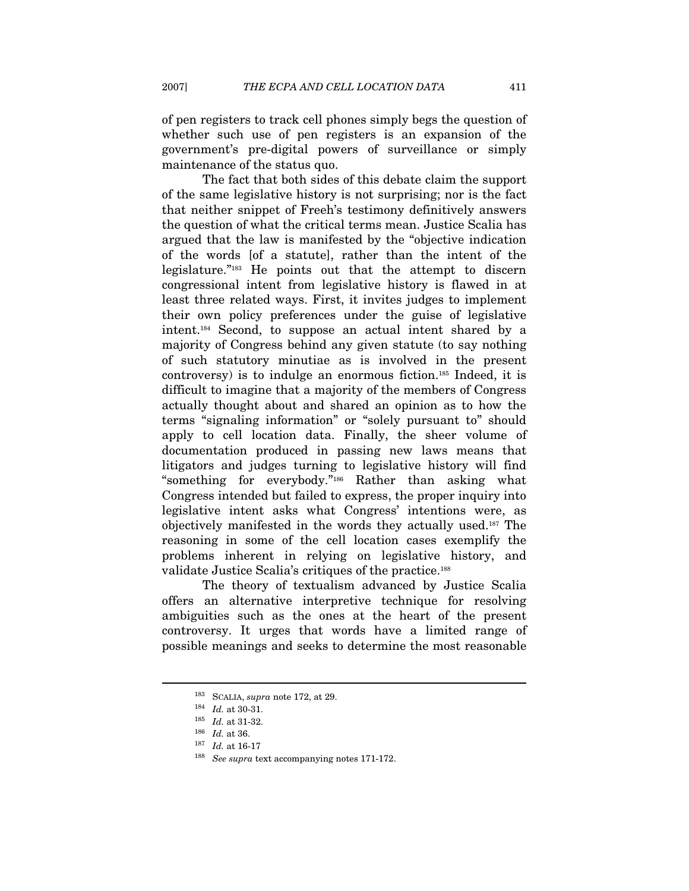of pen registers to track cell phones simply begs the question of whether such use of pen registers is an expansion of the government's pre-digital powers of surveillance or simply maintenance of the status quo.

The fact that both sides of this debate claim the support of the same legislative history is not surprising; nor is the fact that neither snippet of Freeh's testimony definitively answers the question of what the critical terms mean. Justice Scalia has argued that the law is manifested by the "objective indication of the words [of a statute], rather than the intent of the legislature."183 He points out that the attempt to discern congressional intent from legislative history is flawed in at least three related ways. First, it invites judges to implement their own policy preferences under the guise of legislative intent.184 Second, to suppose an actual intent shared by a majority of Congress behind any given statute (to say nothing of such statutory minutiae as is involved in the present controversy) is to indulge an enormous fiction.185 Indeed, it is difficult to imagine that a majority of the members of Congress actually thought about and shared an opinion as to how the terms "signaling information" or "solely pursuant to" should apply to cell location data. Finally, the sheer volume of documentation produced in passing new laws means that litigators and judges turning to legislative history will find "something for everybody."186 Rather than asking what Congress intended but failed to express, the proper inquiry into legislative intent asks what Congress' intentions were, as objectively manifested in the words they actually used.187 The reasoning in some of the cell location cases exemplify the problems inherent in relying on legislative history, and validate Justice Scalia's critiques of the practice.188

The theory of textualism advanced by Justice Scalia offers an alternative interpretive technique for resolving ambiguities such as the ones at the heart of the present controversy. It urges that words have a limited range of possible meanings and seeks to determine the most reasonable

<sup>&</sup>lt;sup>183</sup> SCALIA, *supra* note 172, at 29.<br><sup>184</sup> *Id.* at 30-31.<br><sup>185</sup> *Id.* at 31-32.

<sup>&</sup>lt;sup>186</sup> *Id.* at 36.<br><sup>187</sup> *Id.* at 16-17<br><sup>188</sup> See supra text accompanying notes 171-172.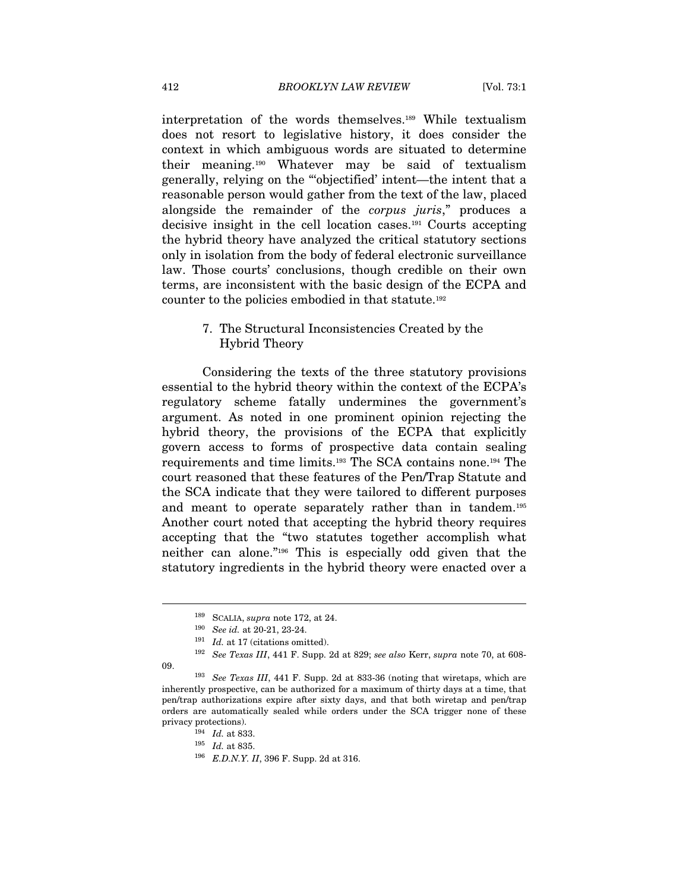interpretation of the words themselves.189 While textualism does not resort to legislative history, it does consider the context in which ambiguous words are situated to determine their meaning.190 Whatever may be said of textualism generally, relying on the "'objectified' intent—the intent that a reasonable person would gather from the text of the law, placed alongside the remainder of the corpus juris," produces a decisive insight in the cell location cases.191 Courts accepting the hybrid theory have analyzed the critical statutory sections only in isolation from the body of federal electronic surveillance law. Those courts' conclusions, though credible on their own terms, are inconsistent with the basic design of the ECPA and counter to the policies embodied in that statute.192

### 7. The Structural Inconsistencies Created by the Hybrid Theory

Considering the texts of the three statutory provisions essential to the hybrid theory within the context of the ECPA's regulatory scheme fatally undermines the government's argument. As noted in one prominent opinion rejecting the hybrid theory, the provisions of the ECPA that explicitly govern access to forms of prospective data contain sealing requirements and time limits.193 The SCA contains none.194 The court reasoned that these features of the Pen/Trap Statute and the SCA indicate that they were tailored to different purposes and meant to operate separately rather than in tandem.195 Another court noted that accepting the hybrid theory requires accepting that the "two statutes together accomplish what neither can alone."196 This is especially odd given that the statutory ingredients in the hybrid theory were enacted over a

<sup>&</sup>lt;sup>189</sup> SCALIA, *supra* note 172, at 24.<br><sup>190</sup> *See id.* at 20-21, 23-24.

<sup>&</sup>lt;sup>191</sup> Id. at 17 (citations omitted). <sup>192</sup> See Texas III, 441 F. Supp. 2d at 829; see also Kerr, supra note 70, at 608-

<sup>09. 193</sup> See Texas III, 441 F. Supp. 2d at 833-36 (noting that wiretaps, which are inherently prospective, can be authorized for a maximum of thirty days at a time, that pen/trap authorizations expire after sixty days, and that both wiretap and pen/trap orders are automatically sealed while orders under the SCA trigger none of these privacy protections).<br>  $^{194}$  *Id.* at 833.<br>  $^{195}$  *Id.* at 835.<br>  $^{196}$  *E.D.N.Y. II*, 396 F. Supp. 2d at 316.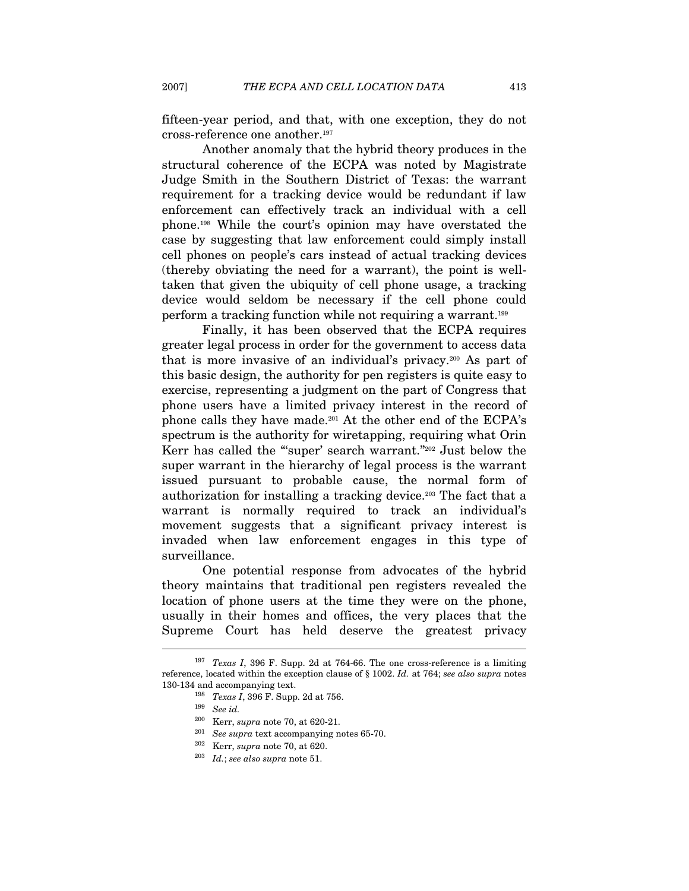fifteen-year period, and that, with one exception, they do not cross-reference one another.197

Another anomaly that the hybrid theory produces in the structural coherence of the ECPA was noted by Magistrate Judge Smith in the Southern District of Texas: the warrant requirement for a tracking device would be redundant if law enforcement can effectively track an individual with a cell phone.198 While the court's opinion may have overstated the case by suggesting that law enforcement could simply install cell phones on people's cars instead of actual tracking devices (thereby obviating the need for a warrant), the point is welltaken that given the ubiquity of cell phone usage, a tracking device would seldom be necessary if the cell phone could perform a tracking function while not requiring a warrant.199

Finally, it has been observed that the ECPA requires greater legal process in order for the government to access data that is more invasive of an individual's privacy.200 As part of this basic design, the authority for pen registers is quite easy to exercise, representing a judgment on the part of Congress that phone users have a limited privacy interest in the record of phone calls they have made.201 At the other end of the ECPA's spectrum is the authority for wiretapping, requiring what Orin Kerr has called the "'super' search warrant."202 Just below the super warrant in the hierarchy of legal process is the warrant issued pursuant to probable cause, the normal form of authorization for installing a tracking device.203 The fact that a warrant is normally required to track an individual's movement suggests that a significant privacy interest is invaded when law enforcement engages in this type of surveillance.

One potential response from advocates of the hybrid theory maintains that traditional pen registers revealed the location of phone users at the time they were on the phone, usually in their homes and offices, the very places that the Supreme Court has held deserve the greatest privacy

<sup>&</sup>lt;sup>197</sup> Texas I, 396 F. Supp. 2d at 764-66. The one cross-reference is a limiting reference, located within the exception clause of § 1002. Id. at 764; see also supra notes 130-134 and accompanying text.<br>
<sup>198</sup> Texas I, 396 F. Supp. 2d at 756.<br>
<sup>199</sup> See id.<br>
<sup>200</sup> Kerr, supra note 70, at 620-21.

<sup>&</sup>lt;sup>201</sup> See supra text accompanying notes 65-70.<br><sup>202</sup> Kerr, supra note 70, at 620.<br><sup>203</sup> Id.; see also supra note 51.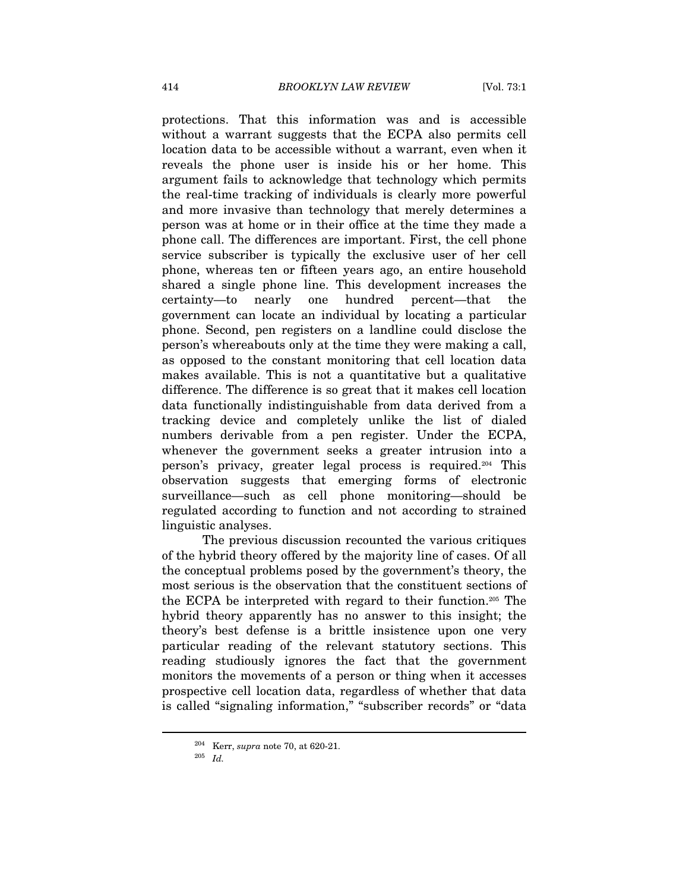protections. That this information was and is accessible without a warrant suggests that the ECPA also permits cell location data to be accessible without a warrant, even when it reveals the phone user is inside his or her home. This argument fails to acknowledge that technology which permits the real-time tracking of individuals is clearly more powerful and more invasive than technology that merely determines a person was at home or in their office at the time they made a phone call. The differences are important. First, the cell phone service subscriber is typically the exclusive user of her cell phone, whereas ten or fifteen years ago, an entire household shared a single phone line. This development increases the certainty—to nearly one hundred percent—that the government can locate an individual by locating a particular phone. Second, pen registers on a landline could disclose the person's whereabouts only at the time they were making a call, as opposed to the constant monitoring that cell location data makes available. This is not a quantitative but a qualitative difference. The difference is so great that it makes cell location data functionally indistinguishable from data derived from a tracking device and completely unlike the list of dialed numbers derivable from a pen register. Under the ECPA, whenever the government seeks a greater intrusion into a person's privacy, greater legal process is required.204 This observation suggests that emerging forms of electronic surveillance—such as cell phone monitoring—should be regulated according to function and not according to strained linguistic analyses.

The previous discussion recounted the various critiques of the hybrid theory offered by the majority line of cases. Of all the conceptual problems posed by the government's theory, the most serious is the observation that the constituent sections of the ECPA be interpreted with regard to their function.205 The hybrid theory apparently has no answer to this insight; the theory's best defense is a brittle insistence upon one very particular reading of the relevant statutory sections. This reading studiously ignores the fact that the government monitors the movements of a person or thing when it accesses prospective cell location data, regardless of whether that data is called "signaling information," "subscriber records" or "data

<sup>&</sup>lt;sup>204</sup> Kerr, *supra* note 70, at 620-21.<br><sup>205</sup> *Id.*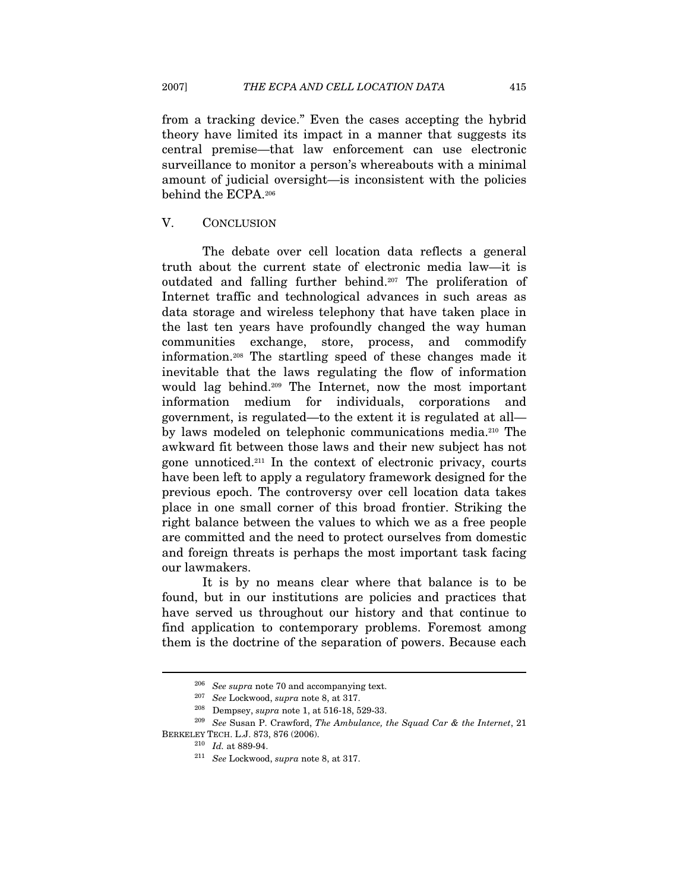from a tracking device." Even the cases accepting the hybrid theory have limited its impact in a manner that suggests its central premise—that law enforcement can use electronic surveillance to monitor a person's whereabouts with a minimal amount of judicial oversight—is inconsistent with the policies behind the ECPA.206

#### V. CONCLUSION

The debate over cell location data reflects a general truth about the current state of electronic media law—it is outdated and falling further behind.207 The proliferation of Internet traffic and technological advances in such areas as data storage and wireless telephony that have taken place in the last ten years have profoundly changed the way human communities exchange, store, process, and commodify information.208 The startling speed of these changes made it inevitable that the laws regulating the flow of information would lag behind.209 The Internet, now the most important information medium for individuals, corporations and government, is regulated—to the extent it is regulated at all by laws modeled on telephonic communications media.210 The awkward fit between those laws and their new subject has not gone unnoticed.211 In the context of electronic privacy, courts have been left to apply a regulatory framework designed for the previous epoch. The controversy over cell location data takes place in one small corner of this broad frontier. Striking the right balance between the values to which we as a free people are committed and the need to protect ourselves from domestic and foreign threats is perhaps the most important task facing our lawmakers.

It is by no means clear where that balance is to be found, but in our institutions are policies and practices that have served us throughout our history and that continue to find application to contemporary problems. Foremost among them is the doctrine of the separation of powers. Because each

<sup>&</sup>lt;sup>206</sup> See supra note 70 and accompanying text.<br><sup>207</sup> See Lockwood, *supra* note 8, at 317.<br><sup>208</sup> Dempsey, *supra* note 1, at 516-18, 529-33.<br><sup>209</sup> See Susan P. Crawford, *The Ambulance, the Squad Car & the Internet*, 21 BERKELEY TECH. L.J. 873, 876 (2006).<br><sup>210</sup> Id. at 889-94.<br><sup>211</sup> See Lockwood, *supra* note 8, at 317.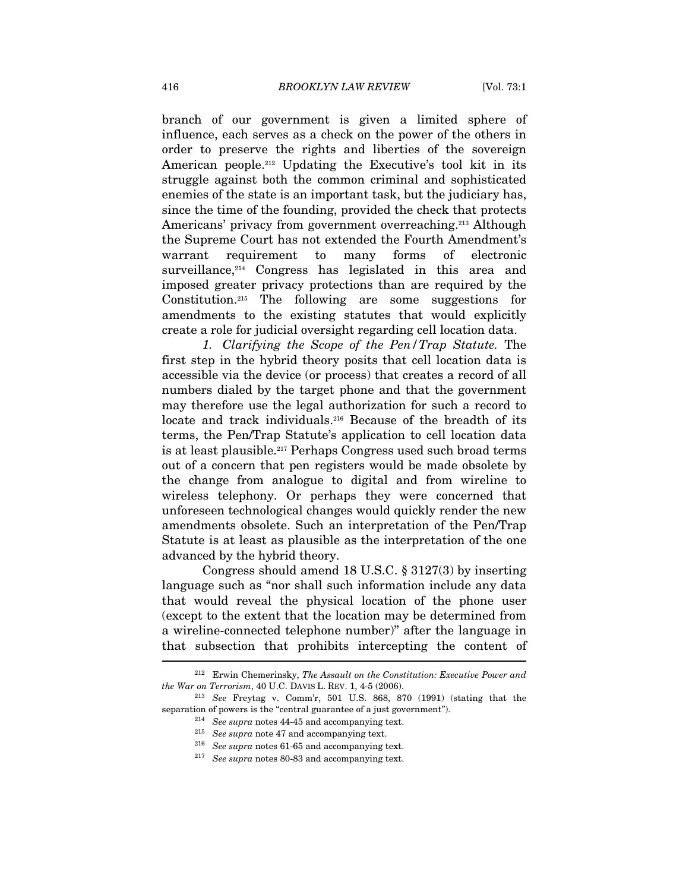branch of our government is given a limited sphere of influence, each serves as a check on the power of the others in order to preserve the rights and liberties of the sovereign American people.212 Updating the Executive's tool kit in its struggle against both the common criminal and sophisticated enemies of the state is an important task, but the judiciary has, since the time of the founding, provided the check that protects Americans' privacy from government overreaching.<sup>213</sup> Although the Supreme Court has not extended the Fourth Amendment's warrant requirement to many forms of electronic surveillance,<sup>214</sup> Congress has legislated in this area and imposed greater privacy protections than are required by the Constitution.215 The following are some suggestions for amendments to the existing statutes that would explicitly create a role for judicial oversight regarding cell location data.

1. Clarifying the Scope of the Pen/Trap Statute. The first step in the hybrid theory posits that cell location data is accessible via the device (or process) that creates a record of all numbers dialed by the target phone and that the government may therefore use the legal authorization for such a record to locate and track individuals.216 Because of the breadth of its terms, the Pen/Trap Statute's application to cell location data is at least plausible.217 Perhaps Congress used such broad terms out of a concern that pen registers would be made obsolete by the change from analogue to digital and from wireline to wireless telephony. Or perhaps they were concerned that unforeseen technological changes would quickly render the new amendments obsolete. Such an interpretation of the Pen/Trap Statute is at least as plausible as the interpretation of the one advanced by the hybrid theory.

Congress should amend 18 U.S.C. § 3127(3) by inserting language such as "nor shall such information include any data that would reveal the physical location of the phone user (except to the extent that the location may be determined from a wireline-connected telephone number)" after the language in that subsection that prohibits intercepting the content of  $\overline{\phantom{a}}$ 

<sup>&</sup>lt;sup>212</sup> Erwin Chemerinsky, *The Assault on the Constitution: Executive Power and the War on Terrorism*, 40 U.C. DAVIS L. REV. 1, 4-5 (2006).

 $13$  See Freytag v. Comm'r, 501 U.S. 868, 870 (1991) (stating that the separation of powers is the "central guarantee of a just government").<br><sup>214</sup> See supra notes 44-45 and accompanying text.

<sup>&</sup>lt;sup>215</sup> See supra note 47 and accompanying text.<br><sup>216</sup> See supra notes 61-65 and accompanying text.<br><sup>217</sup> See supra notes 80-83 and accompanying text.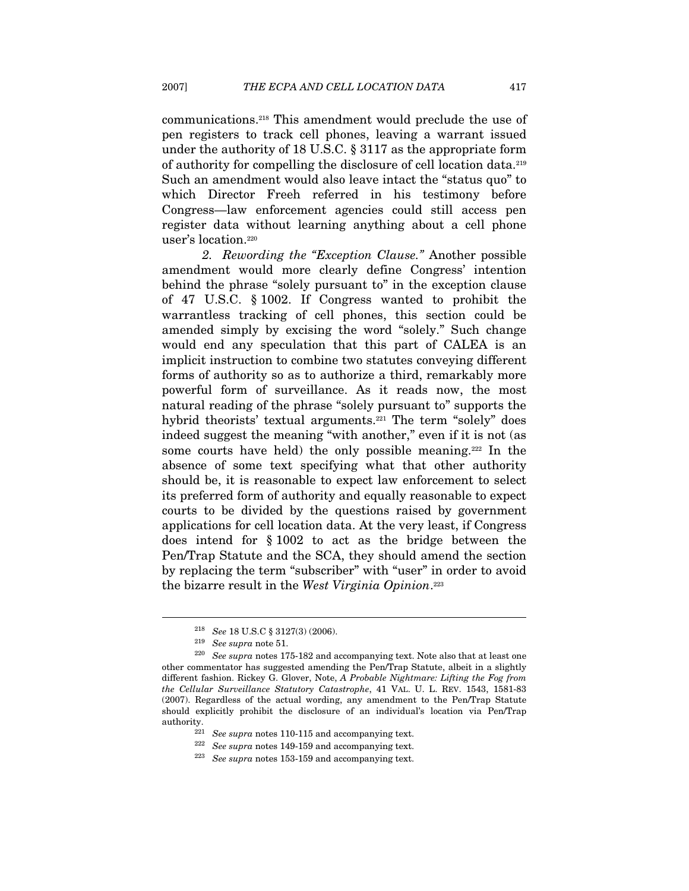communications.218 This amendment would preclude the use of pen registers to track cell phones, leaving a warrant issued under the authority of 18 U.S.C. § 3117 as the appropriate form of authority for compelling the disclosure of cell location data.219 Such an amendment would also leave intact the "status quo" to which Director Freeh referred in his testimony before Congress—law enforcement agencies could still access pen register data without learning anything about a cell phone user's location.220

2. Rewording the "Exception Clause." Another possible amendment would more clearly define Congress' intention behind the phrase "solely pursuant to" in the exception clause of 47 U.S.C. § 1002. If Congress wanted to prohibit the warrantless tracking of cell phones, this section could be amended simply by excising the word "solely." Such change would end any speculation that this part of CALEA is an implicit instruction to combine two statutes conveying different forms of authority so as to authorize a third, remarkably more powerful form of surveillance. As it reads now, the most natural reading of the phrase "solely pursuant to" supports the hybrid theorists' textual arguments.<sup>221</sup> The term "solely" does indeed suggest the meaning "with another," even if it is not (as some courts have held) the only possible meaning.222 In the absence of some text specifying what that other authority should be, it is reasonable to expect law enforcement to select its preferred form of authority and equally reasonable to expect courts to be divided by the questions raised by government applications for cell location data. At the very least, if Congress does intend for § 1002 to act as the bridge between the Pen/Trap Statute and the SCA, they should amend the section by replacing the term "subscriber" with "user" in order to avoid the bizarre result in the West Virginia Opinion.<sup>223</sup>

<sup>&</sup>lt;sup>218</sup> See 18 U.S.C § 3127(3) (2006).<br><sup>219</sup> See supra note 51.<br><sup>220</sup> See supra notes 175-182 and accompanying text. Note also that at least one other commentator has suggested amending the Pen/Trap Statute, albeit in a slightly different fashion. Rickey G. Glover, Note, A Probable Nightmare: Lifting the Fog from the Cellular Surveillance Statutory Catastrophe, 41 VAL. U. L. REV. 1543, 1581-83 (2007). Regardless of the actual wording, any amendment to the Pen/Trap Statute should explicitly prohibit the disclosure of an individual's location via Pen/Trap % authority.  $\begin{array}{r} 221 \ 222 \ 228 \ 223 \ 224 \ 225 \ 225 \ 226 \ 227 \ 227 \ 228 \ 228 \ 229 \ 229 \ 220 \ 221 \end{array}$  and accompanying text.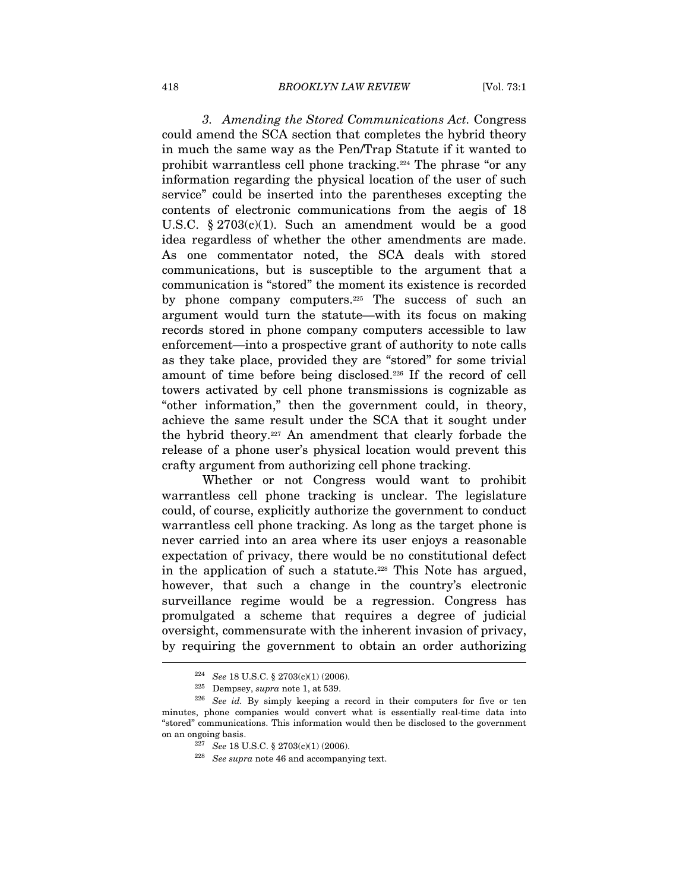3. Amending the Stored Communications Act. Congress could amend the SCA section that completes the hybrid theory in much the same way as the Pen/Trap Statute if it wanted to prohibit warrantless cell phone tracking.224 The phrase "or any information regarding the physical location of the user of such service" could be inserted into the parentheses excepting the contents of electronic communications from the aegis of 18 U.S.C. § 2703(c)(1). Such an amendment would be a good idea regardless of whether the other amendments are made. As one commentator noted, the SCA deals with stored communications, but is susceptible to the argument that a communication is "stored" the moment its existence is recorded by phone company computers.225 The success of such an argument would turn the statute—with its focus on making records stored in phone company computers accessible to law enforcement—into a prospective grant of authority to note calls as they take place, provided they are "stored" for some trivial amount of time before being disclosed.226 If the record of cell towers activated by cell phone transmissions is cognizable as "other information," then the government could, in theory, achieve the same result under the SCA that it sought under the hybrid theory.227 An amendment that clearly forbade the release of a phone user's physical location would prevent this crafty argument from authorizing cell phone tracking.

Whether or not Congress would want to prohibit warrantless cell phone tracking is unclear. The legislature could, of course, explicitly authorize the government to conduct warrantless cell phone tracking. As long as the target phone is never carried into an area where its user enjoys a reasonable expectation of privacy, there would be no constitutional defect in the application of such a statute.<sup>228</sup> This Note has argued, however, that such a change in the country's electronic surveillance regime would be a regression. Congress has promulgated a scheme that requires a degree of judicial oversight, commensurate with the inherent invasion of privacy, by requiring the government to obtain an order authorizing

<sup>&</sup>lt;sup>224</sup> See 18 U.S.C. § 2703(c)(1) (2006).<br><sup>225</sup> Dempsey, *supra* note 1, at 539.<br><sup>226</sup> See id. By simply keeping a record in their computers for five or ten minutes, phone companies would convert what is essentially real-time data into "stored" communications. This information would then be disclosed to the government on an ongoing basis.<br>
<sup>227</sup> See 18 U.S.C. § 2703(c)(1) (2006).

 $228$  See supra note 46 and accompanying text.